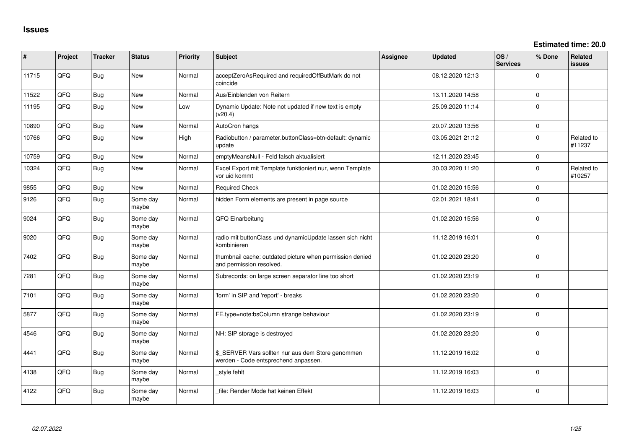**Estimated time: 20.0**

| #     | Project | <b>Tracker</b> | <b>Status</b>     | <b>Priority</b> | Subject                                                                                   | <b>Assignee</b> | <b>Updated</b>   | OS/<br><b>Services</b> | % Done      | Related<br><b>issues</b> |
|-------|---------|----------------|-------------------|-----------------|-------------------------------------------------------------------------------------------|-----------------|------------------|------------------------|-------------|--------------------------|
| 11715 | QFQ     | Bug            | New               | Normal          | acceptZeroAsRequired and requiredOffButMark do not<br>coincide                            |                 | 08.12.2020 12:13 |                        | $\Omega$    |                          |
| 11522 | QFQ     | Bug            | New               | Normal          | Aus/Einblenden von Reitern                                                                |                 | 13.11.2020 14:58 |                        | $\Omega$    |                          |
| 11195 | QFQ     | <b>Bug</b>     | New               | Low             | Dynamic Update: Note not updated if new text is empty<br>(v20.4)                          |                 | 25.09.2020 11:14 |                        | I٥          |                          |
| 10890 | QFQ.    | Bug            | New               | Normal          | AutoCron hangs                                                                            |                 | 20.07.2020 13:56 |                        | ١o          |                          |
| 10766 | QFQ     | <b>Bug</b>     | New               | High            | Radiobutton / parameter.buttonClass=btn-default: dynamic<br>update                        |                 | 03.05.2021 21:12 |                        | $\Omega$    | Related to<br>#11237     |
| 10759 | QFQ.    | <b>Bug</b>     | New               | Normal          | emptyMeansNull - Feld falsch aktualisiert                                                 |                 | 12.11.2020 23:45 |                        | l 0         |                          |
| 10324 | QFQ     | <b>Bug</b>     | New               | Normal          | Excel Export mit Template funktioniert nur, wenn Template<br>vor uid kommt                |                 | 30.03.2020 11:20 |                        | I٥          | Related to<br>#10257     |
| 9855  | QFQ     | <b>Bug</b>     | New               | Normal          | <b>Required Check</b>                                                                     |                 | 01.02.2020 15:56 |                        | l O         |                          |
| 9126  | QFQ     | <b>Bug</b>     | Some day<br>maybe | Normal          | hidden Form elements are present in page source                                           |                 | 02.01.2021 18:41 |                        | ١o          |                          |
| 9024  | QFQ     | Bug            | Some day<br>maybe | Normal          | QFQ Einarbeitung                                                                          |                 | 01.02.2020 15:56 |                        | I٥          |                          |
| 9020  | QFQ     | Bug            | Some day<br>maybe | Normal          | radio mit buttonClass und dynamicUpdate lassen sich nicht<br>kombinieren                  |                 | 11.12.2019 16:01 |                        | $\mathbf 0$ |                          |
| 7402  | QFQ     | Bug            | Some day<br>maybe | Normal          | thumbnail cache: outdated picture when permission denied<br>and permission resolved.      |                 | 01.02.2020 23:20 |                        | $\Omega$    |                          |
| 7281  | QFQ     | <b>Bug</b>     | Some day<br>maybe | Normal          | Subrecords: on large screen separator line too short                                      |                 | 01.02.2020 23:19 |                        | l 0         |                          |
| 7101  | QFQ     | Bug            | Some day<br>maybe | Normal          | 'form' in SIP and 'report' - breaks                                                       |                 | 01.02.2020 23:20 |                        | l o         |                          |
| 5877  | QFQ     | Bug            | Some day<br>maybe | Normal          | FE.type=note:bsColumn strange behaviour                                                   |                 | 01.02.2020 23:19 |                        | l 0         |                          |
| 4546  | QFQ     | <b>Bug</b>     | Some day<br>maybe | Normal          | NH: SIP storage is destroyed                                                              |                 | 01.02.2020 23:20 |                        | I٥          |                          |
| 4441  | QFQ     | Bug            | Some day<br>maybe | Normal          | \$_SERVER Vars sollten nur aus dem Store genommen<br>werden - Code entsprechend anpassen. |                 | 11.12.2019 16:02 |                        | ١o          |                          |
| 4138  | QFQ     | <b>Bug</b>     | Some day<br>maybe | Normal          | style fehlt                                                                               |                 | 11.12.2019 16:03 |                        | I٥          |                          |
| 4122  | QFQ     | Bug            | Some day<br>maybe | Normal          | file: Render Mode hat keinen Effekt                                                       |                 | 11.12.2019 16:03 |                        | ١o          |                          |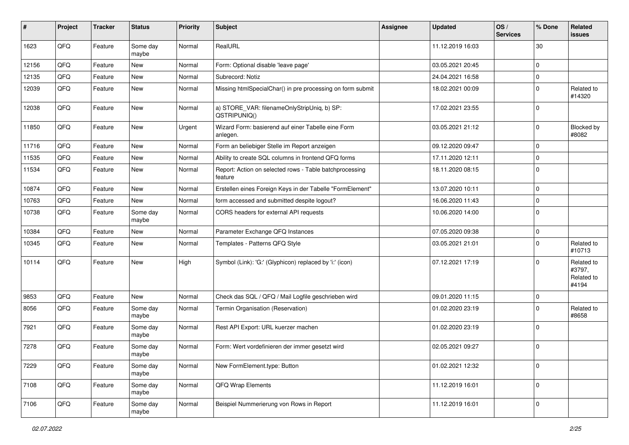| #     | Project | <b>Tracker</b> | <b>Status</b>     | <b>Priority</b> | <b>Subject</b>                                                     | Assignee | <b>Updated</b>   | OS/<br><b>Services</b> | % Done      | Related<br>issues                           |
|-------|---------|----------------|-------------------|-----------------|--------------------------------------------------------------------|----------|------------------|------------------------|-------------|---------------------------------------------|
| 1623  | QFQ     | Feature        | Some day<br>maybe | Normal          | RealURL                                                            |          | 11.12.2019 16:03 |                        | 30          |                                             |
| 12156 | QFQ     | Feature        | New               | Normal          | Form: Optional disable 'leave page'                                |          | 03.05.2021 20:45 |                        | $\Omega$    |                                             |
| 12135 | QFQ     | Feature        | New               | Normal          | Subrecord: Notiz                                                   |          | 24.04.2021 16:58 |                        | $\mathbf 0$ |                                             |
| 12039 | QFQ     | Feature        | New               | Normal          | Missing htmlSpecialChar() in pre processing on form submit         |          | 18.02.2021 00:09 |                        | $\Omega$    | Related to<br>#14320                        |
| 12038 | QFQ     | Feature        | New               | Normal          | a) STORE_VAR: filenameOnlyStripUniq, b) SP:<br>QSTRIPUNIQ()        |          | 17.02.2021 23:55 |                        | $\mathbf 0$ |                                             |
| 11850 | QFQ     | Feature        | New               | Urgent          | Wizard Form: basierend auf einer Tabelle eine Form<br>anlegen.     |          | 03.05.2021 21:12 |                        | 0           | Blocked by<br>#8082                         |
| 11716 | QFQ     | Feature        | New               | Normal          | Form an beliebiger Stelle im Report anzeigen                       |          | 09.12.2020 09:47 |                        | $\Omega$    |                                             |
| 11535 | QFQ     | Feature        | New               | Normal          | Ability to create SQL columns in frontend QFQ forms                |          | 17.11.2020 12:11 |                        | $\mathbf 0$ |                                             |
| 11534 | QFQ     | Feature        | <b>New</b>        | Normal          | Report: Action on selected rows - Table batchprocessing<br>feature |          | 18.11.2020 08:15 |                        | $\Omega$    |                                             |
| 10874 | QFQ     | Feature        | <b>New</b>        | Normal          | Erstellen eines Foreign Keys in der Tabelle "FormElement"          |          | 13.07.2020 10:11 |                        | $\mathbf 0$ |                                             |
| 10763 | QFQ     | Feature        | New               | Normal          | form accessed and submitted despite logout?                        |          | 16.06.2020 11:43 |                        | $\mathbf 0$ |                                             |
| 10738 | QFQ     | Feature        | Some day<br>maybe | Normal          | CORS headers for external API requests                             |          | 10.06.2020 14:00 |                        | $\Omega$    |                                             |
| 10384 | QFQ     | Feature        | New               | Normal          | Parameter Exchange QFQ Instances                                   |          | 07.05.2020 09:38 |                        | $\Omega$    |                                             |
| 10345 | QFQ     | Feature        | New               | Normal          | Templates - Patterns QFQ Style                                     |          | 03.05.2021 21:01 |                        | $\mathbf 0$ | Related to<br>#10713                        |
| 10114 | QFQ     | Feature        | New               | High            | Symbol (Link): 'G:' (Glyphicon) replaced by 'i:' (icon)            |          | 07.12.2021 17:19 |                        | $\Omega$    | Related to<br>#3797,<br>Related to<br>#4194 |
| 9853  | QFQ     | Feature        | <b>New</b>        | Normal          | Check das SQL / QFQ / Mail Logfile geschrieben wird                |          | 09.01.2020 11:15 |                        | $\mathbf 0$ |                                             |
| 8056  | QFQ     | Feature        | Some day<br>maybe | Normal          | Termin Organisation (Reservation)                                  |          | 01.02.2020 23:19 |                        | $\Omega$    | Related to<br>#8658                         |
| 7921  | QFQ     | Feature        | Some day<br>maybe | Normal          | Rest API Export: URL kuerzer machen                                |          | 01.02.2020 23:19 |                        | $\Omega$    |                                             |
| 7278  | QFQ     | Feature        | Some day<br>maybe | Normal          | Form: Wert vordefinieren der immer gesetzt wird                    |          | 02.05.2021 09:27 |                        | 0           |                                             |
| 7229  | QFQ     | Feature        | Some day<br>maybe | Normal          | New FormElement.type: Button                                       |          | 01.02.2021 12:32 |                        | $\mathbf 0$ |                                             |
| 7108  | QFQ     | Feature        | Some day<br>maybe | Normal          | QFQ Wrap Elements                                                  |          | 11.12.2019 16:01 |                        | 0           |                                             |
| 7106  | QFQ     | Feature        | Some day<br>maybe | Normal          | Beispiel Nummerierung von Rows in Report                           |          | 11.12.2019 16:01 |                        | 0           |                                             |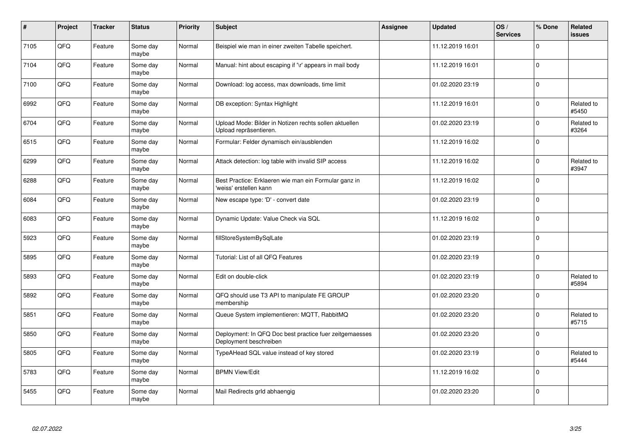| $\pmb{\#}$ | Project | <b>Tracker</b> | <b>Status</b>     | <b>Priority</b> | <b>Subject</b>                                                                    | Assignee | <b>Updated</b>   | OS/<br><b>Services</b> | % Done      | Related<br>issues   |
|------------|---------|----------------|-------------------|-----------------|-----------------------------------------------------------------------------------|----------|------------------|------------------------|-------------|---------------------|
| 7105       | QFQ     | Feature        | Some day<br>maybe | Normal          | Beispiel wie man in einer zweiten Tabelle speichert.                              |          | 11.12.2019 16:01 |                        | $\Omega$    |                     |
| 7104       | QFQ     | Feature        | Some day<br>maybe | Normal          | Manual: hint about escaping if '\r' appears in mail body                          |          | 11.12.2019 16:01 |                        | $\Omega$    |                     |
| 7100       | QFQ     | Feature        | Some day<br>maybe | Normal          | Download: log access, max downloads, time limit                                   |          | 01.02.2020 23:19 |                        | l 0         |                     |
| 6992       | QFQ     | Feature        | Some day<br>maybe | Normal          | DB exception: Syntax Highlight                                                    |          | 11.12.2019 16:01 |                        | $\Omega$    | Related to<br>#5450 |
| 6704       | QFQ     | Feature        | Some day<br>maybe | Normal          | Upload Mode: Bilder in Notizen rechts sollen aktuellen<br>Upload repräsentieren.  |          | 01.02.2020 23:19 |                        | l O         | Related to<br>#3264 |
| 6515       | QFQ     | Feature        | Some day<br>maybe | Normal          | Formular: Felder dynamisch ein/ausblenden                                         |          | 11.12.2019 16:02 |                        | l o         |                     |
| 6299       | QFQ     | Feature        | Some day<br>maybe | Normal          | Attack detection: log table with invalid SIP access                               |          | 11.12.2019 16:02 |                        | l 0         | Related to<br>#3947 |
| 6288       | QFQ     | Feature        | Some day<br>maybe | Normal          | Best Practice: Erklaeren wie man ein Formular ganz in<br>'weiss' erstellen kann   |          | 11.12.2019 16:02 |                        | $\Omega$    |                     |
| 6084       | QFQ     | Feature        | Some day<br>maybe | Normal          | New escape type: 'D' - convert date                                               |          | 01.02.2020 23:19 |                        | $\Omega$    |                     |
| 6083       | QFQ     | Feature        | Some day<br>maybe | Normal          | Dynamic Update: Value Check via SQL                                               |          | 11.12.2019 16:02 |                        | $\Omega$    |                     |
| 5923       | QFQ     | Feature        | Some day<br>maybe | Normal          | fillStoreSystemBySqlLate                                                          |          | 01.02.2020 23:19 |                        | $\mathbf 0$ |                     |
| 5895       | QFQ     | Feature        | Some day<br>maybe | Normal          | Tutorial: List of all QFQ Features                                                |          | 01.02.2020 23:19 |                        | l 0         |                     |
| 5893       | QFQ     | Feature        | Some day<br>maybe | Normal          | Edit on double-click                                                              |          | 01.02.2020 23:19 |                        | $\Omega$    | Related to<br>#5894 |
| 5892       | QFQ     | Feature        | Some day<br>maybe | Normal          | QFQ should use T3 API to manipulate FE GROUP<br>membership                        |          | 01.02.2020 23:20 |                        | $\mathbf 0$ |                     |
| 5851       | QFQ     | Feature        | Some day<br>maybe | Normal          | Queue System implementieren: MQTT, RabbitMQ                                       |          | 01.02.2020 23:20 |                        | $\Omega$    | Related to<br>#5715 |
| 5850       | QFQ     | Feature        | Some day<br>maybe | Normal          | Deployment: In QFQ Doc best practice fuer zeitgemaesses<br>Deployment beschreiben |          | 01.02.2020 23:20 |                        | $\Omega$    |                     |
| 5805       | QFQ     | Feature        | Some day<br>maybe | Normal          | TypeAHead SQL value instead of key stored                                         |          | 01.02.2020 23:19 |                        | $\Omega$    | Related to<br>#5444 |
| 5783       | QFQ     | Feature        | Some day<br>maybe | Normal          | <b>BPMN View/Edit</b>                                                             |          | 11.12.2019 16:02 |                        | $\mathbf 0$ |                     |
| 5455       | QFQ     | Feature        | Some day<br>maybe | Normal          | Mail Redirects grld abhaengig                                                     |          | 01.02.2020 23:20 |                        | $\Omega$    |                     |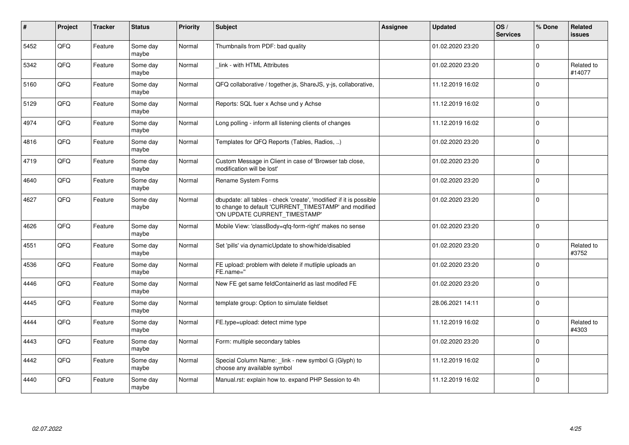| #    | <b>Project</b> | <b>Tracker</b> | <b>Status</b>     | <b>Priority</b> | <b>Subject</b>                                                                                                                                                | Assignee | <b>Updated</b>   | OS/<br><b>Services</b> | % Done   | Related<br><b>issues</b> |
|------|----------------|----------------|-------------------|-----------------|---------------------------------------------------------------------------------------------------------------------------------------------------------------|----------|------------------|------------------------|----------|--------------------------|
| 5452 | QFQ            | Feature        | Some day<br>maybe | Normal          | Thumbnails from PDF: bad quality                                                                                                                              |          | 01.02.2020 23:20 |                        | $\Omega$ |                          |
| 5342 | QFQ            | Feature        | Some day<br>maybe | Normal          | link - with HTML Attributes                                                                                                                                   |          | 01.02.2020 23:20 |                        | $\Omega$ | Related to<br>#14077     |
| 5160 | QFQ            | Feature        | Some day<br>maybe | Normal          | QFQ collaborative / together.js, ShareJS, y-js, collaborative,                                                                                                |          | 11.12.2019 16:02 |                        | $\Omega$ |                          |
| 5129 | QFQ            | Feature        | Some day<br>maybe | Normal          | Reports: SQL fuer x Achse und y Achse                                                                                                                         |          | 11.12.2019 16:02 |                        | $\Omega$ |                          |
| 4974 | QFQ            | Feature        | Some day<br>maybe | Normal          | Long polling - inform all listening clients of changes                                                                                                        |          | 11.12.2019 16:02 |                        | $\Omega$ |                          |
| 4816 | QFQ            | Feature        | Some day<br>maybe | Normal          | Templates for QFQ Reports (Tables, Radios, )                                                                                                                  |          | 01.02.2020 23:20 |                        | $\Omega$ |                          |
| 4719 | QFQ            | Feature        | Some day<br>maybe | Normal          | Custom Message in Client in case of 'Browser tab close,<br>modification will be lost'                                                                         |          | 01.02.2020 23:20 |                        | $\Omega$ |                          |
| 4640 | QFQ            | Feature        | Some day<br>maybe | Normal          | Rename System Forms                                                                                                                                           |          | 01.02.2020 23:20 |                        | $\Omega$ |                          |
| 4627 | QFQ            | Feature        | Some day<br>maybe | Normal          | dbupdate: all tables - check 'create', 'modified' if it is possible<br>to change to default 'CURRENT_TIMESTAMP' and modified<br>'ON UPDATE CURRENT_TIMESTAMP' |          | 01.02.2020 23:20 |                        | $\Omega$ |                          |
| 4626 | QFQ            | Feature        | Some day<br>maybe | Normal          | Mobile View: 'classBody=qfq-form-right' makes no sense                                                                                                        |          | 01.02.2020 23:20 |                        | $\Omega$ |                          |
| 4551 | QFQ            | Feature        | Some day<br>maybe | Normal          | Set 'pills' via dynamicUpdate to show/hide/disabled                                                                                                           |          | 01.02.2020 23:20 |                        | $\Omega$ | Related to<br>#3752      |
| 4536 | QFQ            | Feature        | Some day<br>maybe | Normal          | FE upload: problem with delete if mutliple uploads an<br>FE.name="                                                                                            |          | 01.02.2020 23:20 |                        | $\Omega$ |                          |
| 4446 | QFQ            | Feature        | Some day<br>maybe | Normal          | New FE get same feldContainerId as last modifed FE                                                                                                            |          | 01.02.2020 23:20 |                        | $\Omega$ |                          |
| 4445 | QFQ            | Feature        | Some day<br>maybe | Normal          | template group: Option to simulate fieldset                                                                                                                   |          | 28.06.2021 14:11 |                        | $\Omega$ |                          |
| 4444 | QFQ            | Feature        | Some day<br>maybe | Normal          | FE.type=upload: detect mime type                                                                                                                              |          | 11.12.2019 16:02 |                        | $\Omega$ | Related to<br>#4303      |
| 4443 | QFQ            | Feature        | Some day<br>maybe | Normal          | Form: multiple secondary tables                                                                                                                               |          | 01.02.2020 23:20 |                        | $\Omega$ |                          |
| 4442 | QFQ            | Feature        | Some day<br>maybe | Normal          | Special Column Name: link - new symbol G (Glyph) to<br>choose any available symbol                                                                            |          | 11.12.2019 16:02 |                        | $\Omega$ |                          |
| 4440 | QFQ            | Feature        | Some day<br>maybe | Normal          | Manual.rst: explain how to. expand PHP Session to 4h                                                                                                          |          | 11.12.2019 16:02 |                        | $\Omega$ |                          |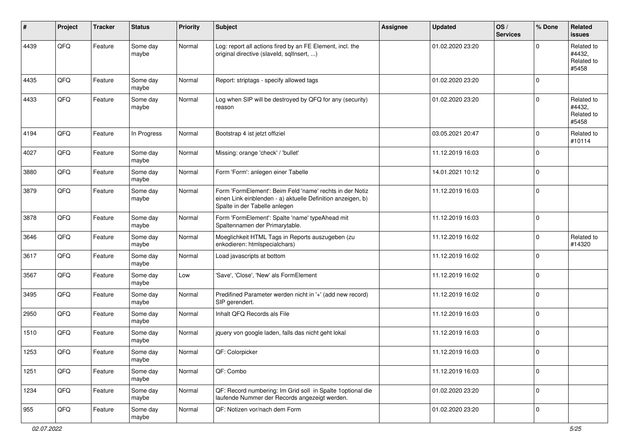| #    | Project | <b>Tracker</b> | <b>Status</b>     | <b>Priority</b> | <b>Subject</b>                                                                                                                                           | <b>Assignee</b> | <b>Updated</b>   | OS/<br><b>Services</b> | % Done              | Related<br><b>issues</b>                    |
|------|---------|----------------|-------------------|-----------------|----------------------------------------------------------------------------------------------------------------------------------------------------------|-----------------|------------------|------------------------|---------------------|---------------------------------------------|
| 4439 | QFQ     | Feature        | Some day<br>maybe | Normal          | Log: report all actions fired by an FE Element, incl. the<br>original directive (slaveld, sqlInsert, )                                                   |                 | 01.02.2020 23:20 |                        | $\Omega$            | Related to<br>#4432,<br>Related to<br>#5458 |
| 4435 | QFQ     | Feature        | Some day<br>maybe | Normal          | Report: striptags - specify allowed tags                                                                                                                 |                 | 01.02.2020 23:20 |                        | $\mathbf 0$         |                                             |
| 4433 | QFQ     | Feature        | Some day<br>maybe | Normal          | Log when SIP will be destroyed by QFQ for any (security)<br>reason                                                                                       |                 | 01.02.2020 23:20 |                        | $\mathbf 0$         | Related to<br>#4432,<br>Related to<br>#5458 |
| 4194 | QFQ     | Feature        | In Progress       | Normal          | Bootstrap 4 ist jetzt offiziel                                                                                                                           |                 | 03.05.2021 20:47 |                        | $\mathbf 0$         | Related to<br>#10114                        |
| 4027 | QFQ     | Feature        | Some day<br>maybe | Normal          | Missing: orange 'check' / 'bullet'                                                                                                                       |                 | 11.12.2019 16:03 |                        | $\mathbf 0$         |                                             |
| 3880 | QFQ     | Feature        | Some day<br>maybe | Normal          | Form 'Form': anlegen einer Tabelle                                                                                                                       |                 | 14.01.2021 10:12 |                        | $\mathbf 0$         |                                             |
| 3879 | QFQ     | Feature        | Some day<br>maybe | Normal          | Form 'FormElement': Beim Feld 'name' rechts in der Notiz<br>einen Link einblenden - a) aktuelle Definition anzeigen, b)<br>Spalte in der Tabelle anlegen |                 | 11.12.2019 16:03 |                        | $\mathbf 0$         |                                             |
| 3878 | QFQ     | Feature        | Some day<br>maybe | Normal          | Form 'FormElement': Spalte 'name' typeAhead mit<br>Spaltennamen der Primarytable.                                                                        |                 | 11.12.2019 16:03 |                        | $\mathbf 0$         |                                             |
| 3646 | QFQ     | Feature        | Some day<br>maybe | Normal          | Moeglichkeit HTML Tags in Reports auszugeben (zu<br>enkodieren: htmlspecialchars)                                                                        |                 | 11.12.2019 16:02 |                        | $\mathbf 0$         | Related to<br>#14320                        |
| 3617 | QFQ     | Feature        | Some day<br>maybe | Normal          | Load javascripts at bottom                                                                                                                               |                 | 11.12.2019 16:02 |                        | $\mathbf 0$         |                                             |
| 3567 | QFQ     | Feature        | Some day<br>maybe | Low             | 'Save', 'Close', 'New' als FormElement                                                                                                                   |                 | 11.12.2019 16:02 |                        | $\mathbf 0$         |                                             |
| 3495 | QFQ     | Feature        | Some day<br>maybe | Normal          | Predifined Parameter werden nicht in '+' (add new record)<br>SIP gerendert.                                                                              |                 | 11.12.2019 16:02 |                        | $\mathbf 0$         |                                             |
| 2950 | QFQ     | Feature        | Some day<br>maybe | Normal          | Inhalt QFQ Records als File                                                                                                                              |                 | 11.12.2019 16:03 |                        | $\mathbf 0$         |                                             |
| 1510 | QFQ     | Feature        | Some day<br>maybe | Normal          | jquery von google laden, falls das nicht geht lokal                                                                                                      |                 | 11.12.2019 16:03 |                        | $\mathbf 0$         |                                             |
| 1253 | QFQ     | Feature        | Some day<br>maybe | Normal          | QF: Colorpicker                                                                                                                                          |                 | 11.12.2019 16:03 |                        | 0                   |                                             |
| 1251 | QFQ     | Feature        | Some day<br>maybe | Normal          | QF: Combo                                                                                                                                                |                 | 11.12.2019 16:03 |                        | $\mathbf 0$         |                                             |
| 1234 | QFQ     | Feature        | Some day<br>maybe | Normal          | QF: Record numbering: Im Grid soll in Spalte 1 optional die<br>laufende Nummer der Records angezeigt werden.                                             |                 | 01.02.2020 23:20 |                        | $\mathsf{O}\xspace$ |                                             |
| 955  | QFQ     | Feature        | Some day<br>maybe | Normal          | QF: Notizen vor/nach dem Form                                                                                                                            |                 | 01.02.2020 23:20 |                        | $\mathbf 0$         |                                             |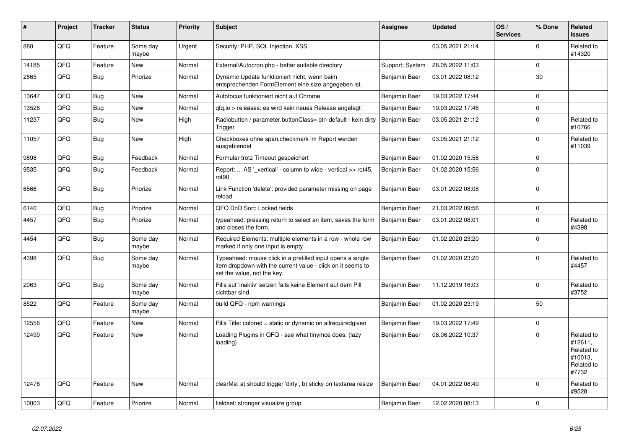| #     | Project | <b>Tracker</b> | <b>Status</b>     | <b>Priority</b> | <b>Subject</b>                                                                                                                                           | Assignee        | <b>Updated</b>   | OS/<br><b>Services</b> | % Done       | Related<br><b>issues</b>                                              |
|-------|---------|----------------|-------------------|-----------------|----------------------------------------------------------------------------------------------------------------------------------------------------------|-----------------|------------------|------------------------|--------------|-----------------------------------------------------------------------|
| 880   | QFQ     | Feature        | Some day<br>maybe | Urgent          | Security: PHP, SQL Injection, XSS                                                                                                                        |                 | 03.05.2021 21:14 |                        | $\Omega$     | Related to<br>#14320                                                  |
| 14185 | QFQ     | Feature        | <b>New</b>        | Normal          | External/Autocron.php - better suitable directory                                                                                                        | Support: System | 28.05.2022 11:03 |                        | $\mathbf{0}$ |                                                                       |
| 2665  | QFQ     | <b>Bug</b>     | Priorize          | Normal          | Dynamic Update funktioniert nicht, wenn beim<br>entsprechenden FormElement eine size angegeben ist.                                                      | Benjamin Baer   | 03.01.2022 08:12 |                        | 30           |                                                                       |
| 13647 | QFQ     | Bug            | <b>New</b>        | Normal          | Autofocus funktioniert nicht auf Chrome                                                                                                                  | Benjamin Baer   | 19.03.2022 17:44 |                        | $\mathbf 0$  |                                                                       |
| 13528 | QFQ     | <b>Bug</b>     | <b>New</b>        | Normal          | gfg.io > releases: es wird kein neues Release angelegt                                                                                                   | Benjamin Baer   | 19.03.2022 17:46 |                        | $\Omega$     |                                                                       |
| 11237 | QFQ     | <b>Bug</b>     | <b>New</b>        | High            | Radiobutton / parameter.buttonClass= btn-default - kein dirty<br>Trigger                                                                                 | Benjamin Baer   | 03.05.2021 21:12 |                        | $\Omega$     | Related to<br>#10766                                                  |
| 11057 | QFQ     | <b>Bug</b>     | New               | High            | Checkboxes ohne span.checkmark im Report werden<br>ausgeblendet                                                                                          | Benjamin Baer   | 03.05.2021 21:12 |                        | $\Omega$     | Related to<br>#11039                                                  |
| 9898  | QFQ     | Bug            | Feedback          | Normal          | Formular trotz Timeout gespeichert                                                                                                                       | Benjamin Baer   | 01.02.2020 15:56 |                        | $\mathbf 0$  |                                                                       |
| 9535  | QFQ     | Bug            | Feedback          | Normal          | Report:  AS '_vertical' - column to wide - vertical >> rot45,<br>rot90                                                                                   | Benjamin Baer   | 01.02.2020 15:56 |                        | $\Omega$     |                                                                       |
| 6566  | QFQ     | Bug            | Priorize          | Normal          | Link Function 'delete': provided parameter missing on page<br>reload                                                                                     | Benjamin Baer   | 03.01.2022 08:08 |                        | $\Omega$     |                                                                       |
| 6140  | QFQ     | <b>Bug</b>     | Priorize          | Normal          | QFQ DnD Sort: Locked fields                                                                                                                              | Benjamin Baer   | 21.03.2022 09:56 |                        | $\Omega$     |                                                                       |
| 4457  | QFQ     | Bug            | Priorize          | Normal          | typeahead: pressing return to select an item, saves the form<br>and closes the form.                                                                     | Benjamin Baer   | 03.01.2022 08:01 |                        | $\Omega$     | Related to<br>#4398                                                   |
| 4454  | QFQ     | <b>Bug</b>     | Some day<br>maybe | Normal          | Required Elements: multiple elements in a row - whole row<br>marked if only one input is empty.                                                          | Benjamin Baer   | 01.02.2020 23:20 |                        | $\Omega$     |                                                                       |
| 4398  | QFQ     | Bug            | Some day<br>maybe | Normal          | Typeahead: mouse click in a prefilled input opens a single<br>item dropdown with the current value - click on it seems to<br>set the value, not the key. | Benjamin Baer   | 01.02.2020 23:20 |                        | $\mathbf 0$  | Related to<br>#4457                                                   |
| 2063  | QFQ     | Bug            | Some day<br>maybe | Normal          | Pills auf 'inaktiv' setzen falls keine Element auf dem Pill<br>sichtbar sind.                                                                            | Benjamin Baer   | 11.12.2019 16:03 |                        | $\Omega$     | Related to<br>#3752                                                   |
| 8522  | QFQ     | Feature        | Some day<br>maybe | Normal          | build QFQ - npm warnings                                                                                                                                 | Benjamin Baer   | 01.02.2020 23:19 |                        | 50           |                                                                       |
| 12556 | QFQ     | Feature        | New               | Normal          | Pills Title: colored = static or dynamic on allrequiredgiven                                                                                             | Benjamin Baer   | 19.03.2022 17:49 |                        | $\Omega$     |                                                                       |
| 12490 | QFQ     | Feature        | <b>New</b>        | Normal          | Loading Plugins in QFQ - see what tinymce does. (lazy<br>loading)                                                                                        | Benjamin Baer   | 08.06.2022 10:37 |                        | $\Omega$     | Related to<br>#12611,<br>Related to<br>#10013.<br>Related to<br>#7732 |
| 12476 | QFQ     | Feature        | New               | Normal          | clearMe: a) should trigger 'dirty', b) sticky on textarea resize                                                                                         | Benjamin Baer   | 04.01.2022 08:40 |                        | $\Omega$     | Related to<br>#9528                                                   |
| 10003 | QFQ     | Feature        | Priorize          | Normal          | fieldset: stronger visualize group                                                                                                                       | Benjamin Baer   | 12.02.2020 08:13 |                        | $\Omega$     |                                                                       |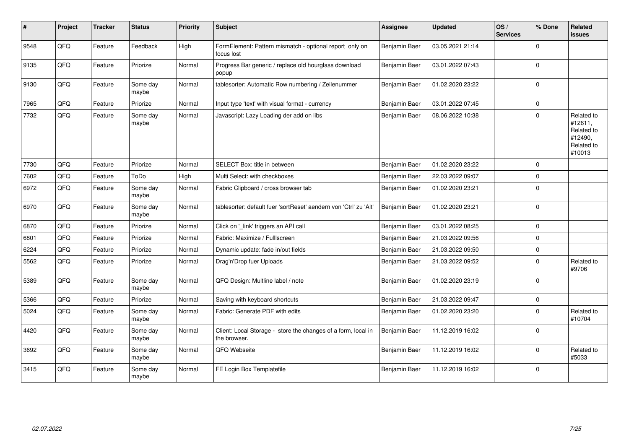| #    | Project | <b>Tracker</b> | <b>Status</b>     | <b>Priority</b> | Subject                                                                       | <b>Assignee</b> | <b>Updated</b>   | OS/<br><b>Services</b> | % Done      | Related<br><b>issues</b>                                               |
|------|---------|----------------|-------------------|-----------------|-------------------------------------------------------------------------------|-----------------|------------------|------------------------|-------------|------------------------------------------------------------------------|
| 9548 | QFQ     | Feature        | Feedback          | High            | FormElement: Pattern mismatch - optional report only on<br>focus lost         | Benjamin Baer   | 03.05.2021 21:14 |                        | $\Omega$    |                                                                        |
| 9135 | QFQ     | Feature        | Priorize          | Normal          | Progress Bar generic / replace old hourglass download<br>popup                | Benjamin Baer   | 03.01.2022 07:43 |                        | $\Omega$    |                                                                        |
| 9130 | QFQ     | Feature        | Some day<br>maybe | Normal          | tablesorter: Automatic Row numbering / Zeilenummer                            | Benjamin Baer   | 01.02.2020 23:22 |                        | $\Omega$    |                                                                        |
| 7965 | QFG     | Feature        | Priorize          | Normal          | Input type 'text' with visual format - currency                               | Benjamin Baer   | 03.01.2022 07:45 |                        | $\Omega$    |                                                                        |
| 7732 | QFQ     | Feature        | Some day<br>maybe | Normal          | Javascript: Lazy Loading der add on libs                                      | Benjamin Baer   | 08.06.2022 10:38 |                        | $\mathbf 0$ | Related to<br>#12611,<br>Related to<br>#12490,<br>Related to<br>#10013 |
| 7730 | QFQ     | Feature        | Priorize          | Normal          | SELECT Box: title in between                                                  | Benjamin Baer   | 01.02.2020 23:22 |                        | $\mathbf 0$ |                                                                        |
| 7602 | QFQ     | Feature        | ToDo              | High            | Multi Select: with checkboxes                                                 | Benjamin Baer   | 22.03.2022 09:07 |                        | $\Omega$    |                                                                        |
| 6972 | QFQ     | Feature        | Some day<br>maybe | Normal          | Fabric Clipboard / cross browser tab                                          | Benjamin Baer   | 01.02.2020 23:21 |                        | $\mathbf 0$ |                                                                        |
| 6970 | QFQ     | Feature        | Some day<br>maybe | Normal          | tablesorter: default fuer 'sortReset' aendern von 'Ctrl' zu 'Alt'             | Benjamin Baer   | 01.02.2020 23:21 |                        | $\Omega$    |                                                                        |
| 6870 | QFQ     | Feature        | Priorize          | Normal          | Click on '_link' triggers an API call                                         | Benjamin Baer   | 03.01.2022 08:25 |                        | $\mathbf 0$ |                                                                        |
| 6801 | QFQ     | Feature        | Priorize          | Normal          | Fabric: Maximize / Fulllscreen                                                | Benjamin Baer   | 21.03.2022 09:56 |                        | $\mathbf 0$ |                                                                        |
| 6224 | QFQ     | Feature        | Priorize          | Normal          | Dynamic update: fade in/out fields                                            | Benjamin Baer   | 21.03.2022 09:50 |                        | $\mathbf 0$ |                                                                        |
| 5562 | QFQ     | Feature        | Priorize          | Normal          | Drag'n'Drop fuer Uploads                                                      | Benjamin Baer   | 21.03.2022 09:52 |                        | $\mathbf 0$ | Related to<br>#9706                                                    |
| 5389 | QFQ     | Feature        | Some day<br>maybe | Normal          | QFQ Design: Multline label / note                                             | Benjamin Baer   | 01.02.2020 23:19 |                        | 0           |                                                                        |
| 5366 | QFQ     | Feature        | Priorize          | Normal          | Saving with keyboard shortcuts                                                | Benjamin Baer   | 21.03.2022 09:47 |                        | $\pmb{0}$   |                                                                        |
| 5024 | QFQ     | Feature        | Some day<br>maybe | Normal          | Fabric: Generate PDF with edits                                               | Benjamin Baer   | 01.02.2020 23:20 |                        | $\mathbf 0$ | Related to<br>#10704                                                   |
| 4420 | QFQ     | Feature        | Some day<br>maybe | Normal          | Client: Local Storage - store the changes of a form, local in<br>the browser. | Benjamin Baer   | 11.12.2019 16:02 |                        | $\Omega$    |                                                                        |
| 3692 | QFQ     | Feature        | Some day<br>maybe | Normal          | QFQ Webseite                                                                  | Benjamin Baer   | 11.12.2019 16:02 |                        | $\Omega$    | Related to<br>#5033                                                    |
| 3415 | QFQ     | Feature        | Some day<br>maybe | Normal          | FE Login Box Templatefile                                                     | Benjamin Baer   | 11.12.2019 16:02 |                        | $\mathbf 0$ |                                                                        |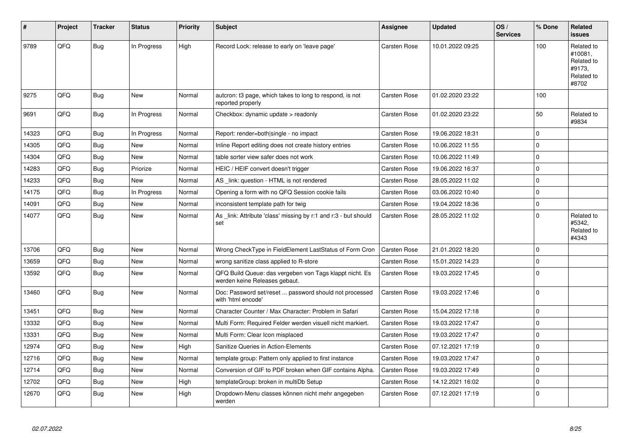| #     | Project | <b>Tracker</b> | <b>Status</b> | <b>Priority</b> | <b>Subject</b>                                                                           | Assignee            | <b>Updated</b>   | OS/<br><b>Services</b> | % Done      | <b>Related</b><br><b>issues</b>                                      |
|-------|---------|----------------|---------------|-----------------|------------------------------------------------------------------------------------------|---------------------|------------------|------------------------|-------------|----------------------------------------------------------------------|
| 9789  | QFQ     | <b>Bug</b>     | In Progress   | High            | Record Lock: release to early on 'leave page'                                            | <b>Carsten Rose</b> | 10.01.2022 09:25 |                        | 100         | Related to<br>#10081,<br>Related to<br>#9173.<br>Related to<br>#8702 |
| 9275  | QFQ     | Bug            | <b>New</b>    | Normal          | autcron: t3 page, which takes to long to respond, is not<br>reported properly            | <b>Carsten Rose</b> | 01.02.2020 23:22 |                        | 100         |                                                                      |
| 9691  | QFQ     | Bug            | In Progress   | Normal          | Checkbox: dynamic update > readonly                                                      | <b>Carsten Rose</b> | 01.02.2020 23:22 |                        | 50          | Related to<br>#9834                                                  |
| 14323 | QFQ     | Bug            | In Progress   | Normal          | Report: render=both single - no impact                                                   | <b>Carsten Rose</b> | 19.06.2022 18:31 |                        | $\Omega$    |                                                                      |
| 14305 | QFQ     | Bug            | New           | Normal          | Inline Report editing does not create history entries                                    | <b>Carsten Rose</b> | 10.06.2022 11:55 |                        | $\Omega$    |                                                                      |
| 14304 | QFQ     | <b>Bug</b>     | <b>New</b>    | Normal          | table sorter view safer does not work                                                    | <b>Carsten Rose</b> | 10.06.2022 11:49 |                        | $\Omega$    |                                                                      |
| 14283 | QFQ     | <b>Bug</b>     | Priorize      | Normal          | HEIC / HEIF convert doesn't trigger                                                      | <b>Carsten Rose</b> | 19.06.2022 16:37 |                        | $\Omega$    |                                                                      |
| 14233 | QFQ     | <b>Bug</b>     | <b>New</b>    | Normal          | AS _link: question - HTML is not rendered                                                | <b>Carsten Rose</b> | 28.05.2022 11:02 |                        | $\Omega$    |                                                                      |
| 14175 | QFQ     | <b>Bug</b>     | In Progress   | Normal          | Opening a form with no QFQ Session cookie fails                                          | <b>Carsten Rose</b> | 03.06.2022 10:40 |                        | $\Omega$    |                                                                      |
| 14091 | QFQ     | <b>Bug</b>     | <b>New</b>    | Normal          | inconsistent template path for twig                                                      | Carsten Rose        | 19.04.2022 18:36 |                        | $\Omega$    |                                                                      |
| 14077 | QFQ     | Bug            | New           | Normal          | As link: Attribute 'class' missing by r:1 and r:3 - but should<br>set                    | Carsten Rose        | 28.05.2022 11:02 |                        | $\Omega$    | Related to<br>#5342,<br>Related to<br>#4343                          |
| 13706 | QFQ     | Bug            | <b>New</b>    | Normal          | Wrong CheckType in FieldElement LastStatus of Form Cron                                  | Carsten Rose        | 21.01.2022 18:20 |                        | 0           |                                                                      |
| 13659 | QFQ     | Bug            | <b>New</b>    | Normal          | wrong sanitize class applied to R-store                                                  | <b>Carsten Rose</b> | 15.01.2022 14:23 |                        | $\Omega$    |                                                                      |
| 13592 | QFQ     | <b>Bug</b>     | <b>New</b>    | Normal          | QFQ Build Queue: das vergeben von Tags klappt nicht. Es<br>werden keine Releases gebaut. | Carsten Rose        | 19.03.2022 17:45 |                        | $\Omega$    |                                                                      |
| 13460 | QFQ     | Bug            | <b>New</b>    | Normal          | Doc: Password set/reset  password should not processed<br>with 'html encode'             | Carsten Rose        | 19.03.2022 17:46 |                        | 0           |                                                                      |
| 13451 | QFQ     | Bug            | <b>New</b>    | Normal          | Character Counter / Max Character: Problem in Safari                                     | Carsten Rose        | 15.04.2022 17:18 |                        | $\mathbf 0$ |                                                                      |
| 13332 | QFQ     | Bug            | <b>New</b>    | Normal          | Multi Form: Required Felder werden visuell nicht markiert.                               | <b>Carsten Rose</b> | 19.03.2022 17:47 |                        | $\Omega$    |                                                                      |
| 13331 | QFQ     | Bug            | <b>New</b>    | Normal          | Multi Form: Clear Icon misplaced                                                         | <b>Carsten Rose</b> | 19.03.2022 17:47 |                        | $\Omega$    |                                                                      |
| 12974 | QFQ     | Bug            | <b>New</b>    | High            | Sanitize Queries in Action-Elements                                                      | <b>Carsten Rose</b> | 07.12.2021 17:19 |                        | $\Omega$    |                                                                      |
| 12716 | QFQ     | <b>Bug</b>     | <b>New</b>    | Normal          | template group: Pattern only applied to first instance                                   | Carsten Rose        | 19.03.2022 17:47 |                        | $\Omega$    |                                                                      |
| 12714 | QFQ     | <b>Bug</b>     | <b>New</b>    | Normal          | Conversion of GIF to PDF broken when GIF contains Alpha.                                 | <b>Carsten Rose</b> | 19.03.2022 17:49 |                        | $\Omega$    |                                                                      |
| 12702 | QFQ     | <b>Bug</b>     | <b>New</b>    | High            | templateGroup: broken in multiDb Setup                                                   | Carsten Rose        | 14.12.2021 16:02 |                        | $\Omega$    |                                                                      |
| 12670 | QFQ     | Bug            | New           | High            | Dropdown-Menu classes können nicht mehr angegeben<br>werden                              | <b>Carsten Rose</b> | 07.12.2021 17:19 |                        | $\Omega$    |                                                                      |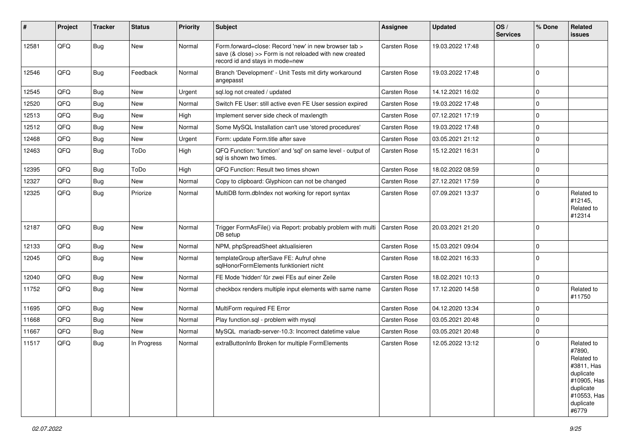| #     | Project | <b>Tracker</b> | <b>Status</b> | <b>Priority</b> | Subject                                                                                                                                             | Assignee            | <b>Updated</b>   | OS/<br><b>Services</b> | % Done      | Related<br>issues                                                                                                              |
|-------|---------|----------------|---------------|-----------------|-----------------------------------------------------------------------------------------------------------------------------------------------------|---------------------|------------------|------------------------|-------------|--------------------------------------------------------------------------------------------------------------------------------|
| 12581 | QFQ     | <b>Bug</b>     | New           | Normal          | Form.forward=close: Record 'new' in new browser tab ><br>save (& close) >> Form is not reloaded with new created<br>record id and stays in mode=new | Carsten Rose        | 19.03.2022 17:48 |                        | $\Omega$    |                                                                                                                                |
| 12546 | QFQ     | <b>Bug</b>     | Feedback      | Normal          | Branch 'Development' - Unit Tests mit dirty workaround<br>angepasst                                                                                 | <b>Carsten Rose</b> | 19.03.2022 17:48 |                        | ١o          |                                                                                                                                |
| 12545 | QFQ     | Bug            | New           | Urgent          | sql.log not created / updated                                                                                                                       | Carsten Rose        | 14.12.2021 16:02 |                        | l 0         |                                                                                                                                |
| 12520 | QFQ     | Bug            | New           | Normal          | Switch FE User: still active even FE User session expired                                                                                           | Carsten Rose        | 19.03.2022 17:48 |                        | $\mathbf 0$ |                                                                                                                                |
| 12513 | QFQ     | Bug            | New           | High            | Implement server side check of maxlength                                                                                                            | Carsten Rose        | 07.12.2021 17:19 |                        | $\Omega$    |                                                                                                                                |
| 12512 | QFQ     | Bug            | New           | Normal          | Some MySQL Installation can't use 'stored procedures'                                                                                               | <b>Carsten Rose</b> | 19.03.2022 17:48 |                        | $\mathbf 0$ |                                                                                                                                |
| 12468 | QFQ     | Bug            | New           | Urgent          | Form: update Form.title after save                                                                                                                  | <b>Carsten Rose</b> | 03.05.2021 21:12 |                        | $\mathbf 0$ |                                                                                                                                |
| 12463 | QFQ     | <b>Bug</b>     | ToDo          | High            | QFQ Function: 'function' and 'sql' on same level - output of<br>sal is shown two times.                                                             | <b>Carsten Rose</b> | 15.12.2021 16:31 |                        | ١o          |                                                                                                                                |
| 12395 | QFQ     | Bug            | ToDo          | High            | QFQ Function: Result two times shown                                                                                                                | Carsten Rose        | 18.02.2022 08:59 |                        | $\Omega$    |                                                                                                                                |
| 12327 | QFQ     | Bug            | New           | Normal          | Copy to clipboard: Glyphicon can not be changed                                                                                                     | <b>Carsten Rose</b> | 27.12.2021 17:59 |                        | $\mathbf 0$ |                                                                                                                                |
| 12325 | QFQ     | Bug            | Priorize      | Normal          | MultiDB form.dblndex not working for report syntax                                                                                                  | <b>Carsten Rose</b> | 07.09.2021 13:37 |                        | $\Omega$    | Related to<br>#12145,<br>Related to<br>#12314                                                                                  |
| 12187 | QFQ     | <b>Bug</b>     | <b>New</b>    | Normal          | Trigger FormAsFile() via Report: probably problem with multi<br>DB setup                                                                            | <b>Carsten Rose</b> | 20.03.2021 21:20 |                        | ١o          |                                                                                                                                |
| 12133 | QFQ     | <b>Bug</b>     | New           | Normal          | NPM, phpSpreadSheet aktualisieren                                                                                                                   | Carsten Rose        | 15.03.2021 09:04 |                        | $\mathbf 0$ |                                                                                                                                |
| 12045 | QFQ     | <b>Bug</b>     | New           | Normal          | templateGroup afterSave FE: Aufruf ohne<br>sglHonorFormElements funktioniert nicht                                                                  | Carsten Rose        | 18.02.2021 16:33 |                        | l 0         |                                                                                                                                |
| 12040 | QFQ     | Bug            | New           | Normal          | FE Mode 'hidden' für zwei FEs auf einer Zeile                                                                                                       | Carsten Rose        | 18.02.2021 10:13 |                        | $\mathbf 0$ |                                                                                                                                |
| 11752 | QFQ     | <b>Bug</b>     | New           | Normal          | checkbox renders multiple input elements with same name                                                                                             | Carsten Rose        | 17.12.2020 14:58 |                        | l 0         | Related to<br>#11750                                                                                                           |
| 11695 | QFQ     | Bug            | New           | Normal          | MultiForm required FE Error                                                                                                                         | Carsten Rose        | 04.12.2020 13:34 |                        | $\Omega$    |                                                                                                                                |
| 11668 | QFQ     | Bug            | New           | Normal          | Play function.sql - problem with mysql                                                                                                              | Carsten Rose        | 03.05.2021 20:48 |                        | $\mathbf 0$ |                                                                                                                                |
| 11667 | QFQ     | Bug            | New           | Normal          | MySQL mariadb-server-10.3: Incorrect datetime value                                                                                                 | Carsten Rose        | 03.05.2021 20:48 |                        | $\mathbf 0$ |                                                                                                                                |
| 11517 | QFQ     | Bug            | In Progress   | Normal          | extraButtonInfo Broken for multiple FormElements                                                                                                    | Carsten Rose        | 12.05.2022 13:12 |                        | $\Omega$    | Related to<br>#7890,<br>Related to<br>#3811, Has<br>duplicate<br>#10905, Has<br>duplicate<br>#10553, Has<br>duplicate<br>#6779 |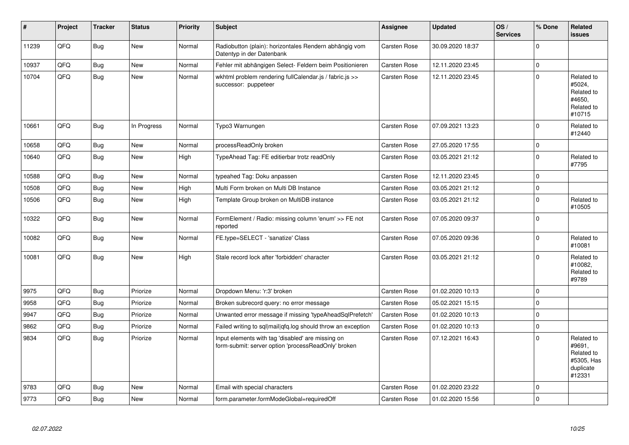| #     | Project | <b>Tracker</b> | <b>Status</b> | <b>Priority</b> | <b>Subject</b>                                                                                           | <b>Assignee</b>     | <b>Updated</b>   | OS/<br><b>Services</b> | % Done      | Related<br><b>issues</b>                                                |
|-------|---------|----------------|---------------|-----------------|----------------------------------------------------------------------------------------------------------|---------------------|------------------|------------------------|-------------|-------------------------------------------------------------------------|
| 11239 | QFQ     | <b>Bug</b>     | <b>New</b>    | Normal          | Radiobutton (plain): horizontales Rendern abhängig vom<br>Datentyp in der Datenbank                      | Carsten Rose        | 30.09.2020 18:37 |                        | $\Omega$    |                                                                         |
| 10937 | QFQ     | <b>Bug</b>     | New           | Normal          | Fehler mit abhängigen Select- Feldern beim Positionieren                                                 | <b>Carsten Rose</b> | 12.11.2020 23:45 |                        | $\mathbf 0$ |                                                                         |
| 10704 | QFQ     | <b>Bug</b>     | <b>New</b>    | Normal          | wkhtml problem rendering fullCalendar.js / fabric.js >><br>successor: puppeteer                          | <b>Carsten Rose</b> | 12.11.2020 23:45 |                        | $\Omega$    | Related to<br>#5024,<br>Related to<br>#4650.<br>Related to<br>#10715    |
| 10661 | QFQ     | <b>Bug</b>     | In Progress   | Normal          | Typo3 Warnungen                                                                                          | <b>Carsten Rose</b> | 07.09.2021 13:23 |                        | $\Omega$    | Related to<br>#12440                                                    |
| 10658 | QFQ     | <b>Bug</b>     | New           | Normal          | processReadOnly broken                                                                                   | <b>Carsten Rose</b> | 27.05.2020 17:55 |                        | $\mathbf 0$ |                                                                         |
| 10640 | QFQ     | <b>Bug</b>     | <b>New</b>    | High            | TypeAhead Tag: FE editierbar trotz readOnly                                                              | <b>Carsten Rose</b> | 03.05.2021 21:12 |                        | $\Omega$    | Related to<br>#7795                                                     |
| 10588 | QFQ     | <b>Bug</b>     | <b>New</b>    | Normal          | typeahed Tag: Doku anpassen                                                                              | <b>Carsten Rose</b> | 12.11.2020 23:45 |                        | $\Omega$    |                                                                         |
| 10508 | QFQ     | Bug            | <b>New</b>    | High            | Multi Form broken on Multi DB Instance                                                                   | <b>Carsten Rose</b> | 03.05.2021 21:12 |                        | $\Omega$    |                                                                         |
| 10506 | QFQ     | <b>Bug</b>     | <b>New</b>    | High            | Template Group broken on MultiDB instance                                                                | <b>Carsten Rose</b> | 03.05.2021 21:12 |                        | $\Omega$    | Related to<br>#10505                                                    |
| 10322 | QFQ     | <b>Bug</b>     | <b>New</b>    | Normal          | FormElement / Radio: missing column 'enum' >> FE not<br>reported                                         | <b>Carsten Rose</b> | 07.05.2020 09:37 |                        | $\Omega$    |                                                                         |
| 10082 | QFQ     | Bug            | <b>New</b>    | Normal          | FE.type=SELECT - 'sanatize' Class                                                                        | <b>Carsten Rose</b> | 07.05.2020 09:36 |                        | $\Omega$    | Related to<br>#10081                                                    |
| 10081 | QFQ     | Bug            | <b>New</b>    | High            | Stale record lock after 'forbidden' character                                                            | Carsten Rose        | 03.05.2021 21:12 |                        | $\Omega$    | Related to<br>#10082,<br>Related to<br>#9789                            |
| 9975  | QFQ     | Bug            | Priorize      | Normal          | Dropdown Menu: 'r:3' broken                                                                              | <b>Carsten Rose</b> | 01.02.2020 10:13 |                        | 0           |                                                                         |
| 9958  | QFQ     | <b>Bug</b>     | Priorize      | Normal          | Broken subrecord query: no error message                                                                 | <b>Carsten Rose</b> | 05.02.2021 15:15 |                        | $\Omega$    |                                                                         |
| 9947  | QFQ     | Bug            | Priorize      | Normal          | Unwanted error message if missing 'typeAheadSqlPrefetch'                                                 | <b>Carsten Rose</b> | 01.02.2020 10:13 |                        | $\Omega$    |                                                                         |
| 9862  | QFQ     | Bug            | Priorize      | Normal          | Failed writing to sql mail qfq.log should throw an exception                                             | <b>Carsten Rose</b> | 01.02.2020 10:13 |                        | $\mathbf 0$ |                                                                         |
| 9834  | QFQ     | <b>Bug</b>     | Priorize      | Normal          | Input elements with tag 'disabled' are missing on<br>form-submit: server option 'processReadOnly' broken | <b>Carsten Rose</b> | 07.12.2021 16:43 |                        | $\Omega$    | Related to<br>#9691,<br>Related to<br>#5305, Has<br>duplicate<br>#12331 |
| 9783  | QFQ     | Bug            | <b>New</b>    | Normal          | Email with special characters                                                                            | <b>Carsten Rose</b> | 01.02.2020 23:22 |                        | $\Omega$    |                                                                         |
| 9773  | QFQ     | Bug            | <b>New</b>    | Normal          | form.parameter.formModeGlobal=requiredOff                                                                | Carsten Rose        | 01.02.2020 15:56 |                        | $\Omega$    |                                                                         |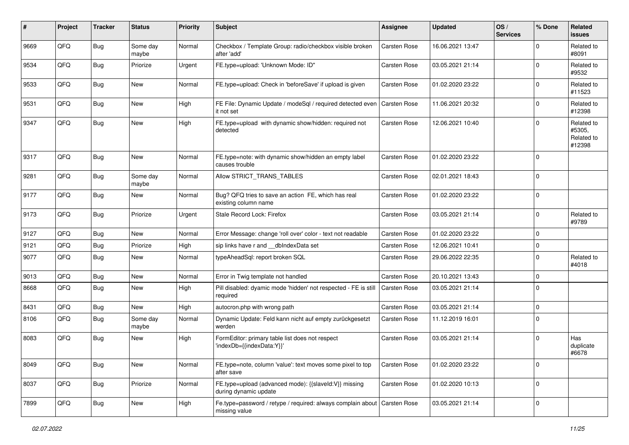| #    | Project | <b>Tracker</b> | <b>Status</b>     | <b>Priority</b> | <b>Subject</b>                                                                          | <b>Assignee</b>     | <b>Updated</b>   | OS/<br><b>Services</b> | % Done      | Related<br><b>issues</b>                     |
|------|---------|----------------|-------------------|-----------------|-----------------------------------------------------------------------------------------|---------------------|------------------|------------------------|-------------|----------------------------------------------|
| 9669 | QFQ     | <b>Bug</b>     | Some day<br>maybe | Normal          | Checkbox / Template Group: radio/checkbox visible broken<br>after 'add'                 | Carsten Rose        | 16.06.2021 13:47 |                        | $\Omega$    | Related to<br>#8091                          |
| 9534 | QFQ     | <b>Bug</b>     | Priorize          | Urgent          | FE.type=upload: 'Unknown Mode: ID"                                                      | Carsten Rose        | 03.05.2021 21:14 |                        | $\mathbf 0$ | Related to<br>#9532                          |
| 9533 | QFQ     | <b>Bug</b>     | <b>New</b>        | Normal          | FE.type=upload: Check in 'beforeSave' if upload is given                                | Carsten Rose        | 01.02.2020 23:22 |                        | $\Omega$    | Related to<br>#11523                         |
| 9531 | QFQ     | <b>Bug</b>     | <b>New</b>        | High            | FE File: Dynamic Update / modeSql / required detected even   Carsten Rose<br>it not set |                     | 11.06.2021 20:32 |                        | $\mathbf 0$ | Related to<br>#12398                         |
| 9347 | QFQ     | <b>Bug</b>     | New               | High            | FE.type=upload with dynamic show/hidden: required not<br>detected                       | Carsten Rose        | 12.06.2021 10:40 |                        | $\mathbf 0$ | Related to<br>#5305,<br>Related to<br>#12398 |
| 9317 | QFQ     | <b>Bug</b>     | <b>New</b>        | Normal          | FE.type=note: with dynamic show/hidden an empty label<br>causes trouble                 | Carsten Rose        | 01.02.2020 23:22 |                        | $\mathbf 0$ |                                              |
| 9281 | QFQ     | <b>Bug</b>     | Some day<br>maybe | Normal          | Allow STRICT_TRANS_TABLES                                                               | Carsten Rose        | 02.01.2021 18:43 |                        | $\mathbf 0$ |                                              |
| 9177 | QFQ     | <b>Bug</b>     | <b>New</b>        | Normal          | Bug? QFQ tries to save an action FE, which has real<br>existing column name             | Carsten Rose        | 01.02.2020 23:22 |                        | $\mathbf 0$ |                                              |
| 9173 | QFQ     | <b>Bug</b>     | Priorize          | Urgent          | Stale Record Lock: Firefox                                                              | Carsten Rose        | 03.05.2021 21:14 |                        | $\mathbf 0$ | Related to<br>#9789                          |
| 9127 | QFQ     | Bug            | <b>New</b>        | Normal          | Error Message: change 'roll over' color - text not readable                             | Carsten Rose        | 01.02.2020 23:22 |                        | $\mathbf 0$ |                                              |
| 9121 | QFQ     | <b>Bug</b>     | Priorize          | High            | sip links have r and __dbIndexData set                                                  | Carsten Rose        | 12.06.2021 10:41 |                        | $\mathbf 0$ |                                              |
| 9077 | QFQ     | <b>Bug</b>     | New               | Normal          | typeAheadSql: report broken SQL                                                         | Carsten Rose        | 29.06.2022 22:35 |                        | $\mathbf 0$ | Related to<br>#4018                          |
| 9013 | QFQ     | <b>Bug</b>     | <b>New</b>        | Normal          | Error in Twig template not handled                                                      | Carsten Rose        | 20.10.2021 13:43 |                        | $\mathbf 0$ |                                              |
| 8668 | QFQ     | <b>Bug</b>     | <b>New</b>        | High            | Pill disabled: dyamic mode 'hidden' not respected - FE is still<br>required             | Carsten Rose        | 03.05.2021 21:14 |                        | $\mathbf 0$ |                                              |
| 8431 | QFQ     | <b>Bug</b>     | New               | High            | autocron.php with wrong path                                                            | Carsten Rose        | 03.05.2021 21:14 |                        | $\mathbf 0$ |                                              |
| 8106 | QFQ     | <b>Bug</b>     | Some day<br>maybe | Normal          | Dynamic Update: Feld kann nicht auf empty zurückgesetzt<br>werden                       | Carsten Rose        | 11.12.2019 16:01 |                        | $\mathbf 0$ |                                              |
| 8083 | QFQ     | <b>Bug</b>     | New               | High            | FormEditor: primary table list does not respect<br>'indexDb={{indexData:Y}}'            | Carsten Rose        | 03.05.2021 21:14 |                        | $\mathbf 0$ | Has<br>duplicate<br>#6678                    |
| 8049 | QFQ     | <b>Bug</b>     | New               | Normal          | FE.type=note, column 'value': text moves some pixel to top<br>after save                | Carsten Rose        | 01.02.2020 23:22 |                        | $\mathbf 0$ |                                              |
| 8037 | QFQ     | <b>Bug</b>     | Priorize          | Normal          | FE.type=upload (advanced mode): {{slaveId:V}} missing<br>during dynamic update          | Carsten Rose        | 01.02.2020 10:13 |                        | $\mathbf 0$ |                                              |
| 7899 | QFQ     | <b>Bug</b>     | New               | High            | Fe.type=password / retype / required: always complain about<br>missing value            | <b>Carsten Rose</b> | 03.05.2021 21:14 |                        | $\mathbf 0$ |                                              |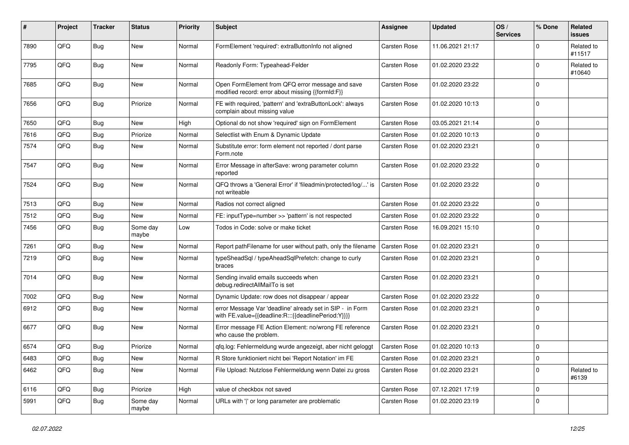| #    | Project | Tracker    | <b>Status</b>     | <b>Priority</b> | <b>Subject</b>                                                                                                   | Assignee            | <b>Updated</b>   | OS/<br><b>Services</b> | % Done       | Related<br>issues    |
|------|---------|------------|-------------------|-----------------|------------------------------------------------------------------------------------------------------------------|---------------------|------------------|------------------------|--------------|----------------------|
| 7890 | QFQ     | Bug        | <b>New</b>        | Normal          | FormElement 'required': extraButtonInfo not aligned                                                              | <b>Carsten Rose</b> | 11.06.2021 21:17 |                        | 0            | Related to<br>#11517 |
| 7795 | QFQ     | Bug        | <b>New</b>        | Normal          | Readonly Form: Typeahead-Felder                                                                                  | <b>Carsten Rose</b> | 01.02.2020 23:22 |                        | 0            | Related to<br>#10640 |
| 7685 | QFQ     | <b>Bug</b> | <b>New</b>        | Normal          | Open FormElement from QFQ error message and save<br>modified record: error about missing {{formId:F}}            | <b>Carsten Rose</b> | 01.02.2020 23:22 |                        | $\Omega$     |                      |
| 7656 | QFQ     | <b>Bug</b> | Priorize          | Normal          | FE with required, 'pattern' and 'extraButtonLock': always<br>complain about missing value                        | <b>Carsten Rose</b> | 01.02.2020 10:13 |                        | $\Omega$     |                      |
| 7650 | QFQ     | Bug        | New               | High            | Optional do not show 'required' sign on FormElement                                                              | <b>Carsten Rose</b> | 03.05.2021 21:14 |                        | $\mathbf 0$  |                      |
| 7616 | QFQ     | Bug        | Priorize          | Normal          | Selectlist with Enum & Dynamic Update                                                                            | <b>Carsten Rose</b> | 01.02.2020 10:13 |                        | $\mathbf{0}$ |                      |
| 7574 | QFQ     | Bug        | <b>New</b>        | Normal          | Substitute error: form element not reported / dont parse<br>Form.note                                            | <b>Carsten Rose</b> | 01.02.2020 23:21 |                        | $\Omega$     |                      |
| 7547 | QFQ     | <b>Bug</b> | <b>New</b>        | Normal          | Error Message in afterSave: wrong parameter column<br>reported                                                   | <b>Carsten Rose</b> | 01.02.2020 23:22 |                        | $\mathbf 0$  |                      |
| 7524 | QFQ     | Bug        | <b>New</b>        | Normal          | QFQ throws a 'General Error' if 'fileadmin/protected/log/' is<br>not writeable                                   | <b>Carsten Rose</b> | 01.02.2020 23:22 |                        | $\Omega$     |                      |
| 7513 | QFQ     | <b>Bug</b> | <b>New</b>        | Normal          | Radios not correct aligned                                                                                       | <b>Carsten Rose</b> | 01.02.2020 23:22 |                        | $\Omega$     |                      |
| 7512 | QFQ     | <b>Bug</b> | <b>New</b>        | Normal          | FE: inputType=number >> 'pattern' is not respected                                                               | <b>Carsten Rose</b> | 01.02.2020 23:22 |                        | $\Omega$     |                      |
| 7456 | QFQ     | <b>Bug</b> | Some day<br>maybe | Low             | Todos in Code: solve or make ticket                                                                              | <b>Carsten Rose</b> | 16.09.2021 15:10 |                        | $\Omega$     |                      |
| 7261 | QFQ     | Bug        | <b>New</b>        | Normal          | Report path Filename for user without path, only the filename                                                    | <b>Carsten Rose</b> | 01.02.2020 23:21 |                        | $\mathbf 0$  |                      |
| 7219 | QFQ     | Bug        | <b>New</b>        | Normal          | typeSheadSql / typeAheadSqlPrefetch: change to curly<br>braces                                                   | Carsten Rose        | 01.02.2020 23:21 |                        | $\Omega$     |                      |
| 7014 | QFQ     | Bug        | <b>New</b>        | Normal          | Sending invalid emails succeeds when<br>debug.redirectAllMailTo is set                                           | <b>Carsten Rose</b> | 01.02.2020 23:21 |                        | $\Omega$     |                      |
| 7002 | QFQ     | <b>Bug</b> | <b>New</b>        | Normal          | Dynamic Update: row does not disappear / appear                                                                  | <b>Carsten Rose</b> | 01.02.2020 23:22 |                        | $\Omega$     |                      |
| 6912 | QFQ     | <b>Bug</b> | <b>New</b>        | Normal          | error Message Var 'deadline' already set in SIP - in Form<br>with FE.value={{deadline:R:::{{deadlinePeriod:Y}}}} | Carsten Rose        | 01.02.2020 23:21 |                        | $\Omega$     |                      |
| 6677 | QFQ     | <b>Bug</b> | <b>New</b>        | Normal          | Error message FE Action Element: no/wrong FE reference<br>who cause the problem.                                 | Carsten Rose        | 01.02.2020 23:21 |                        | $\Omega$     |                      |
| 6574 | QFQ     | Bug        | Priorize          | Normal          | gfg.log: Fehlermeldung wurde angezeigt, aber nicht geloggt                                                       | <b>Carsten Rose</b> | 01.02.2020 10:13 |                        | $\mathbf{0}$ |                      |
| 6483 | QFQ     | <b>Bug</b> | <b>New</b>        | Normal          | R Store funktioniert nicht bei 'Report Notation' im FE                                                           | <b>Carsten Rose</b> | 01.02.2020 23:21 |                        | $\mathbf 0$  |                      |
| 6462 | QFQ     | <b>Bug</b> | <b>New</b>        | Normal          | File Upload: Nutzlose Fehlermeldung wenn Datei zu gross                                                          | <b>Carsten Rose</b> | 01.02.2020 23:21 |                        | $\mathbf 0$  | Related to<br>#6139  |
| 6116 | QFQ     | <b>Bug</b> | Priorize          | High            | value of checkbox not saved                                                                                      | <b>Carsten Rose</b> | 07.12.2021 17:19 |                        | $\mathbf 0$  |                      |
| 5991 | QFQ     | Bug        | Some day<br>maybe | Normal          | URLs with 'I' or long parameter are problematic                                                                  | <b>Carsten Rose</b> | 01.02.2020 23:19 |                        | $\Omega$     |                      |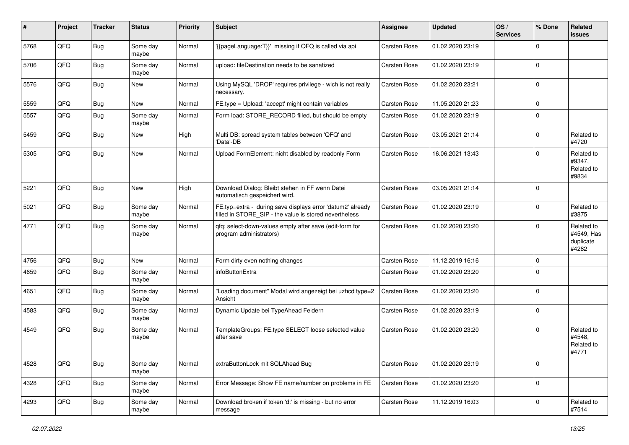| #    | Project | <b>Tracker</b> | <b>Status</b>     | <b>Priority</b> | Subject                                                                                                              | Assignee            | <b>Updated</b>   | OS/<br><b>Services</b> | % Done      | Related<br>issues                              |
|------|---------|----------------|-------------------|-----------------|----------------------------------------------------------------------------------------------------------------------|---------------------|------------------|------------------------|-------------|------------------------------------------------|
| 5768 | QFQ     | <b>Bug</b>     | Some day<br>maybe | Normal          | '{{pageLanguage:T}}' missing if QFQ is called via api                                                                | Carsten Rose        | 01.02.2020 23:19 |                        | $\Omega$    |                                                |
| 5706 | QFQ     | Bug            | Some day<br>maybe | Normal          | upload: fileDestination needs to be sanatized                                                                        | Carsten Rose        | 01.02.2020 23:19 |                        | $\Omega$    |                                                |
| 5576 | QFQ     | Bug            | New               | Normal          | Using MySQL 'DROP' requires privilege - wich is not really<br>necessary.                                             | <b>Carsten Rose</b> | 01.02.2020 23:21 |                        | $\Omega$    |                                                |
| 5559 | QFQ     | Bug            | <b>New</b>        | Normal          | FE.type = Upload: 'accept' might contain variables                                                                   | Carsten Rose        | 11.05.2020 21:23 |                        | 0           |                                                |
| 5557 | QFQ     | <b>Bug</b>     | Some day<br>maybe | Normal          | Form load: STORE_RECORD filled, but should be empty                                                                  | Carsten Rose        | 01.02.2020 23:19 |                        | $\Omega$    |                                                |
| 5459 | QFQ     | Bug            | New               | High            | Multi DB: spread system tables between 'QFQ' and<br>'Data'-DB                                                        | Carsten Rose        | 03.05.2021 21:14 |                        | $\Omega$    | Related to<br>#4720                            |
| 5305 | QFQ     | Bug            | <b>New</b>        | Normal          | Upload FormElement: nicht disabled by readonly Form                                                                  | <b>Carsten Rose</b> | 16.06.2021 13:43 |                        | $\Omega$    | Related to<br>#9347,<br>Related to<br>#9834    |
| 5221 | QFQ     | Bug            | <b>New</b>        | High            | Download Dialog: Bleibt stehen in FF wenn Datei<br>automatisch gespeichert wird.                                     | <b>Carsten Rose</b> | 03.05.2021 21:14 |                        | $\Omega$    |                                                |
| 5021 | QFQ     | Bug            | Some day<br>maybe | Normal          | FE.typ=extra - during save displays error 'datum2' already<br>filled in STORE_SIP - the value is stored nevertheless | Carsten Rose        | 01.02.2020 23:19 |                        | $\Omega$    | Related to<br>#3875                            |
| 4771 | QFQ     | Bug            | Some day<br>maybe | Normal          | qfq: select-down-values empty after save (edit-form for<br>program administrators)                                   | <b>Carsten Rose</b> | 01.02.2020 23:20 |                        | $\Omega$    | Related to<br>#4549, Has<br>duplicate<br>#4282 |
| 4756 | QFQ     | Bug            | New               | Normal          | Form dirty even nothing changes                                                                                      | Carsten Rose        | 11.12.2019 16:16 |                        | $\Omega$    |                                                |
| 4659 | QFQ     | Bug            | Some day<br>maybe | Normal          | infoButtonExtra                                                                                                      | Carsten Rose        | 01.02.2020 23:20 |                        | $\Omega$    |                                                |
| 4651 | QFQ     | <b>Bug</b>     | Some day<br>maybe | Normal          | "Loading document" Modal wird angezeigt bei uzhcd type=2<br>Ansicht                                                  | <b>Carsten Rose</b> | 01.02.2020 23:20 |                        | $\Omega$    |                                                |
| 4583 | QFQ     | Bug            | Some day<br>maybe | Normal          | Dynamic Update bei TypeAhead Feldern                                                                                 | Carsten Rose        | 01.02.2020 23:19 |                        | $\Omega$    |                                                |
| 4549 | QFQ     | Bug            | Some day<br>maybe | Normal          | TemplateGroups: FE.type SELECT loose selected value<br>after save                                                    | Carsten Rose        | 01.02.2020 23:20 |                        | $\Omega$    | Related to<br>#4548,<br>Related to<br>#4771    |
| 4528 | QFQ     | Bug            | Some day<br>maybe | Normal          | extraButtonLock mit SQLAhead Bug                                                                                     | Carsten Rose        | 01.02.2020 23:19 |                        | $\mathbf 0$ |                                                |
| 4328 | QFQ     | <b>Bug</b>     | Some day<br>maybe | Normal          | Error Message: Show FE name/number on problems in FE                                                                 | Carsten Rose        | 01.02.2020 23:20 |                        | 0           |                                                |
| 4293 | QFQ     | <b>Bug</b>     | Some day<br>maybe | Normal          | Download broken if token 'd:' is missing - but no error<br>message                                                   | Carsten Rose        | 11.12.2019 16:03 |                        | 0           | Related to<br>#7514                            |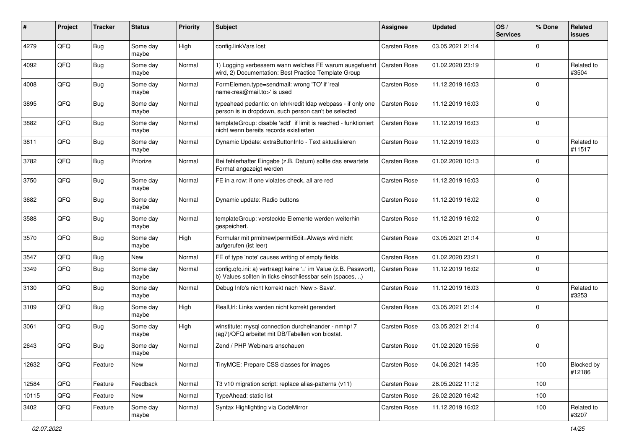| ∦     | Project | <b>Tracker</b> | <b>Status</b>     | <b>Priority</b> | <b>Subject</b>                                                                                                                | <b>Assignee</b>     | <b>Updated</b>   | OS/<br><b>Services</b> | % Done       | Related<br>issues    |
|-------|---------|----------------|-------------------|-----------------|-------------------------------------------------------------------------------------------------------------------------------|---------------------|------------------|------------------------|--------------|----------------------|
| 4279  | QFQ     | Bug            | Some day<br>maybe | High            | config.linkVars lost                                                                                                          | <b>Carsten Rose</b> | 03.05.2021 21:14 |                        | $\Omega$     |                      |
| 4092  | QFQ     | <b>Bug</b>     | Some day<br>maybe | Normal          | 1) Logging verbessern wann welches FE warum ausgefuehrt<br>wird, 2) Documentation: Best Practice Template Group               | <b>Carsten Rose</b> | 01.02.2020 23:19 |                        | $\Omega$     | Related to<br>#3504  |
| 4008  | QFQ     | <b>Bug</b>     | Some day<br>maybe | Normal          | FormElemen.type=sendmail: wrong 'TO' if 'real<br>name <rea@mail.to>' is used</rea@mail.to>                                    | <b>Carsten Rose</b> | 11.12.2019 16:03 |                        | $\Omega$     |                      |
| 3895  | QFQ     | Bug            | Some day<br>maybe | Normal          | typeahead pedantic: on lehrkredit Idap webpass - if only one<br>person is in dropdown, such person can't be selected          | Carsten Rose        | 11.12.2019 16:03 |                        | $\Omega$     |                      |
| 3882  | QFQ     | <b>Bug</b>     | Some day<br>maybe | Normal          | templateGroup: disable 'add' if limit is reached - funktioniert<br>nicht wenn bereits records existierten                     | <b>Carsten Rose</b> | 11.12.2019 16:03 |                        | $\Omega$     |                      |
| 3811  | QFQ     | Bug            | Some day<br>maybe | Normal          | Dynamic Update: extraButtonInfo - Text aktualisieren                                                                          | Carsten Rose        | 11.12.2019 16:03 |                        | $\Omega$     | Related to<br>#11517 |
| 3782  | QFQ     | Bug            | Priorize          | Normal          | Bei fehlerhafter Eingabe (z.B. Datum) sollte das erwartete<br>Format angezeigt werden                                         | Carsten Rose        | 01.02.2020 10:13 |                        | $\Omega$     |                      |
| 3750  | QFQ     | Bug            | Some day<br>maybe | Normal          | FE in a row: if one violates check, all are red                                                                               | <b>Carsten Rose</b> | 11.12.2019 16:03 |                        | $\mathbf 0$  |                      |
| 3682  | QFQ     | <b>Bug</b>     | Some day<br>maybe | Normal          | Dynamic update: Radio buttons                                                                                                 | <b>Carsten Rose</b> | 11.12.2019 16:02 |                        | $\mathbf 0$  |                      |
| 3588  | QFQ     | <b>Bug</b>     | Some day<br>maybe | Normal          | templateGroup: versteckte Elemente werden weiterhin<br>gespeichert.                                                           | <b>Carsten Rose</b> | 11.12.2019 16:02 |                        | $\Omega$     |                      |
| 3570  | QFQ     | Bug            | Some day<br>maybe | High            | Formular mit prmitnew permitEdit=Always wird nicht<br>aufgerufen (ist leer)                                                   | <b>Carsten Rose</b> | 03.05.2021 21:14 |                        | $\Omega$     |                      |
| 3547  | QFQ     | <b>Bug</b>     | <b>New</b>        | Normal          | FE of type 'note' causes writing of empty fields.                                                                             | Carsten Rose        | 01.02.2020 23:21 |                        | $\Omega$     |                      |
| 3349  | QFQ     | <b>Bug</b>     | Some day<br>maybe | Normal          | config.qfq.ini: a) vertraegt keine '=' im Value (z.B. Passwort),<br>b) Values sollten in ticks einschliessbar sein (spaces, ) | <b>Carsten Rose</b> | 11.12.2019 16:02 |                        | $\mathbf 0$  |                      |
| 3130  | QFQ     | Bug            | Some day<br>maybe | Normal          | Debug Info's nicht korrekt nach 'New > Save'.                                                                                 | Carsten Rose        | 11.12.2019 16:03 |                        | $\Omega$     | Related to<br>#3253  |
| 3109  | QFQ     | <b>Bug</b>     | Some day<br>maybe | High            | RealUrl: Links werden nicht korrekt gerendert                                                                                 | Carsten Rose        | 03.05.2021 21:14 |                        | $\mathbf{0}$ |                      |
| 3061  | QFQ     | Bug            | Some day<br>maybe | High            | winstitute: mysql connection durcheinander - nmhp17<br>(ag7)/QFQ arbeitet mit DB/Tabellen von biostat.                        | <b>Carsten Rose</b> | 03.05.2021 21:14 |                        | $\Omega$     |                      |
| 2643  | QFQ     | Bug            | Some day<br>maybe | Normal          | Zend / PHP Webinars anschauen                                                                                                 | Carsten Rose        | 01.02.2020 15:56 |                        | $\mathbf{0}$ |                      |
| 12632 | QFQ     | Feature        | New               | Normal          | TinyMCE: Prepare CSS classes for images                                                                                       | Carsten Rose        | 04.06.2021 14:35 |                        | 100          | Blocked by<br>#12186 |
| 12584 | QFQ     | Feature        | Feedback          | Normal          | T3 v10 migration script: replace alias-patterns (v11)                                                                         | Carsten Rose        | 28.05.2022 11:12 |                        | 100          |                      |
| 10115 | QFQ     | Feature        | New               | Normal          | TypeAhead: static list                                                                                                        | Carsten Rose        | 26.02.2020 16:42 |                        | 100          |                      |
| 3402  | QFQ     | Feature        | Some day<br>maybe | Normal          | Syntax Highlighting via CodeMirror                                                                                            | Carsten Rose        | 11.12.2019 16:02 |                        | 100          | Related to<br>#3207  |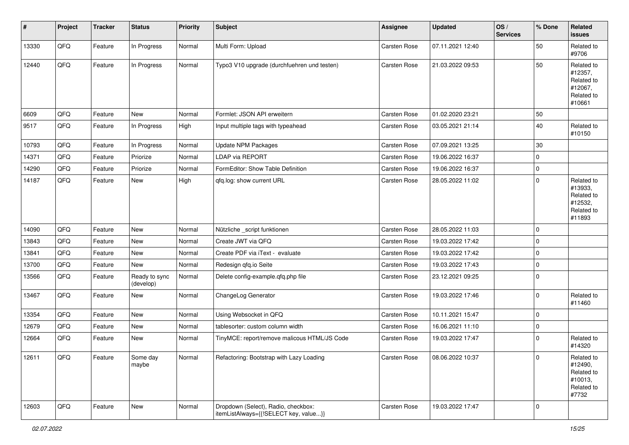| $\vert$ # | Project | <b>Tracker</b> | <b>Status</b>              | <b>Priority</b> | <b>Subject</b>                                                               | Assignee     | <b>Updated</b>   | OS/<br><b>Services</b> | % Done              | Related<br><b>issues</b>                                               |
|-----------|---------|----------------|----------------------------|-----------------|------------------------------------------------------------------------------|--------------|------------------|------------------------|---------------------|------------------------------------------------------------------------|
| 13330     | QFQ     | Feature        | In Progress                | Normal          | Multi Form: Upload                                                           | Carsten Rose | 07.11.2021 12:40 |                        | 50                  | Related to<br>#9706                                                    |
| 12440     | QFQ     | Feature        | In Progress                | Normal          | Typo3 V10 upgrade (durchfuehren und testen)                                  | Carsten Rose | 21.03.2022 09:53 |                        | 50                  | Related to<br>#12357,<br>Related to<br>#12067,<br>Related to<br>#10661 |
| 6609      | QFQ     | Feature        | <b>New</b>                 | Normal          | Formlet: JSON API erweitern                                                  | Carsten Rose | 01.02.2020 23:21 |                        | 50                  |                                                                        |
| 9517      | QFQ     | Feature        | In Progress                | High            | Input multiple tags with typeahead                                           | Carsten Rose | 03.05.2021 21:14 |                        | 40                  | Related to<br>#10150                                                   |
| 10793     | QFQ     | Feature        | In Progress                | Normal          | Update NPM Packages                                                          | Carsten Rose | 07.09.2021 13:25 |                        | 30                  |                                                                        |
| 14371     | QFQ     | Feature        | Priorize                   | Normal          | <b>LDAP via REPORT</b>                                                       | Carsten Rose | 19.06.2022 16:37 |                        | $\mathsf{O}\xspace$ |                                                                        |
| 14290     | QFQ     | Feature        | Priorize                   | Normal          | FormEditor: Show Table Definition                                            | Carsten Rose | 19.06.2022 16:37 |                        | $\mathbf 0$         |                                                                        |
| 14187     | QFQ     | Feature        | New                        | High            | qfq.log: show current URL                                                    | Carsten Rose | 28.05.2022 11:02 |                        | $\mathbf 0$         | Related to<br>#13933,<br>Related to<br>#12532,<br>Related to<br>#11893 |
| 14090     | QFQ     | Feature        | New                        | Normal          | Nützliche _script funktionen                                                 | Carsten Rose | 28.05.2022 11:03 |                        | $\mathbf 0$         |                                                                        |
| 13843     | QFQ     | Feature        | New                        | Normal          | Create JWT via QFQ                                                           | Carsten Rose | 19.03.2022 17:42 |                        | $\mathbf 0$         |                                                                        |
| 13841     | QFQ     | Feature        | New                        | Normal          | Create PDF via iText - evaluate                                              | Carsten Rose | 19.03.2022 17:42 |                        | $\mathbf 0$         |                                                                        |
| 13700     | QFQ     | Feature        | New                        | Normal          | Redesign qfq.io Seite                                                        | Carsten Rose | 19.03.2022 17:43 |                        | $\mathbf 0$         |                                                                        |
| 13566     | QFQ     | Feature        | Ready to sync<br>(develop) | Normal          | Delete config-example.qfq.php file                                           | Carsten Rose | 23.12.2021 09:25 |                        | $\mathbf 0$         |                                                                        |
| 13467     | QFQ     | Feature        | New                        | Normal          | ChangeLog Generator                                                          | Carsten Rose | 19.03.2022 17:46 |                        | $\mathbf 0$         | Related to<br>#11460                                                   |
| 13354     | QFQ     | Feature        | <b>New</b>                 | Normal          | Using Websocket in QFQ                                                       | Carsten Rose | 10.11.2021 15:47 |                        | $\mathbf 0$         |                                                                        |
| 12679     | QFQ     | Feature        | New                        | Normal          | tablesorter: custom column width                                             | Carsten Rose | 16.06.2021 11:10 |                        | $\mathbf 0$         |                                                                        |
| 12664     | QFQ     | Feature        | New                        | Normal          | TinyMCE: report/remove malicous HTML/JS Code                                 | Carsten Rose | 19.03.2022 17:47 |                        | $\mathbf 0$         | Related to<br>#14320                                                   |
| 12611     | QFQ     | Feature        | Some day<br>maybe          | Normal          | Refactoring: Bootstrap with Lazy Loading                                     | Carsten Rose | 08.06.2022 10:37 |                        | 0                   | Related to<br>#12490,<br>Related to<br>#10013,<br>Related to<br>#7732  |
| 12603     | QFQ     | Feature        | New                        | Normal          | Dropdown (Select), Radio, checkbox:<br>itemListAlways={{!SELECT key, value}} | Carsten Rose | 19.03.2022 17:47 |                        | $\mathbf 0$         |                                                                        |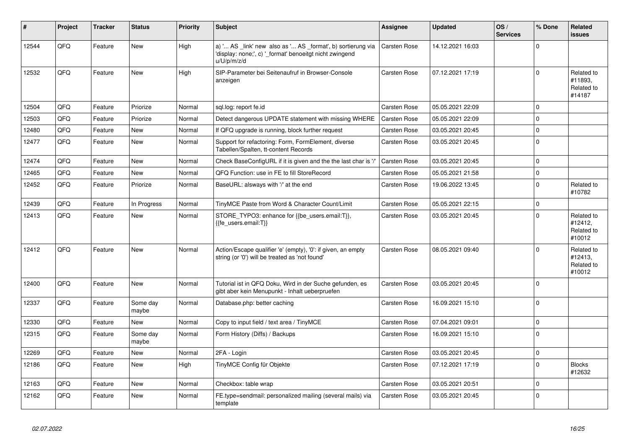| #     | Project | <b>Tracker</b> | <b>Status</b>     | <b>Priority</b> | <b>Subject</b>                                                                                                                        | <b>Assignee</b>     | <b>Updated</b>   | OS/<br><b>Services</b> | % Done         | Related<br>issues                             |
|-------|---------|----------------|-------------------|-----------------|---------------------------------------------------------------------------------------------------------------------------------------|---------------------|------------------|------------------------|----------------|-----------------------------------------------|
| 12544 | QFQ     | Feature        | <b>New</b>        | High            | a) ' AS _link' new also as ' AS _format', b) sortierung via<br>'display: none;', c) '_format' benoeitgt nicht zwingend<br>u/U/p/m/z/d | <b>Carsten Rose</b> | 14.12.2021 16:03 |                        | $\Omega$       |                                               |
| 12532 | QFQ     | Feature        | <b>New</b>        | High            | SIP-Parameter bei Seitenaufruf in Browser-Console<br>anzeigen                                                                         | <b>Carsten Rose</b> | 07.12.2021 17:19 |                        | $\Omega$       | Related to<br>#11893.<br>Related to<br>#14187 |
| 12504 | QFQ     | Feature        | Priorize          | Normal          | sql.log: report fe.id                                                                                                                 | <b>Carsten Rose</b> | 05.05.2021 22:09 |                        | $\Omega$       |                                               |
| 12503 | QFQ     | Feature        | Priorize          | Normal          | Detect dangerous UPDATE statement with missing WHERE                                                                                  | <b>Carsten Rose</b> | 05.05.2021 22:09 |                        | $\Omega$       |                                               |
| 12480 | QFQ     | Feature        | <b>New</b>        | Normal          | If QFQ upgrade is running, block further request                                                                                      | Carsten Rose        | 03.05.2021 20:45 |                        | $\Omega$       |                                               |
| 12477 | QFQ     | Feature        | <b>New</b>        | Normal          | Support for refactoring: Form, FormElement, diverse<br>Tabellen/Spalten, tt-content Records                                           | <b>Carsten Rose</b> | 03.05.2021 20:45 |                        | $\overline{0}$ |                                               |
| 12474 | QFQ     | Feature        | <b>New</b>        | Normal          | Check BaseConfigURL if it is given and the the last char is '/'                                                                       | <b>Carsten Rose</b> | 03.05.2021 20:45 |                        | $\mathbf 0$    |                                               |
| 12465 | QFQ     | Feature        | <b>New</b>        | Normal          | QFQ Function: use in FE to fill StoreRecord                                                                                           | Carsten Rose        | 05.05.2021 21:58 |                        | $\mathbf{0}$   |                                               |
| 12452 | QFQ     | Feature        | Priorize          | Normal          | BaseURL: alsways with '/' at the end                                                                                                  | <b>Carsten Rose</b> | 19.06.2022 13:45 |                        | $\Omega$       | Related to<br>#10782                          |
| 12439 | QFQ     | Feature        | In Progress       | Normal          | TinyMCE Paste from Word & Character Count/Limit                                                                                       | Carsten Rose        | 05.05.2021 22:15 |                        | $\Omega$       |                                               |
| 12413 | QFQ     | Feature        | <b>New</b>        | Normal          | STORE_TYPO3: enhance for {{be_users.email:T}},<br>{{fe users.email:T}}                                                                | <b>Carsten Rose</b> | 03.05.2021 20:45 |                        | $\Omega$       | Related to<br>#12412,<br>Related to<br>#10012 |
| 12412 | QFQ     | Feature        | <b>New</b>        | Normal          | Action/Escape qualifier 'e' (empty), '0': if given, an empty<br>string (or '0') will be treated as 'not found'                        | <b>Carsten Rose</b> | 08.05.2021 09:40 |                        | $\Omega$       | Related to<br>#12413,<br>Related to<br>#10012 |
| 12400 | QFQ     | Feature        | <b>New</b>        | Normal          | Tutorial ist in QFQ Doku, Wird in der Suche gefunden, es<br>gibt aber kein Menupunkt - Inhalt ueberpruefen                            | <b>Carsten Rose</b> | 03.05.2021 20:45 |                        | $\Omega$       |                                               |
| 12337 | QFQ     | Feature        | Some day<br>maybe | Normal          | Database.php: better caching                                                                                                          | <b>Carsten Rose</b> | 16.09.2021 15:10 |                        | $\overline{0}$ |                                               |
| 12330 | QFQ     | Feature        | New               | Normal          | Copy to input field / text area / TinyMCE                                                                                             | Carsten Rose        | 07.04.2021 09:01 |                        | $\Omega$       |                                               |
| 12315 | QFQ     | Feature        | Some day<br>maybe | Normal          | Form History (Diffs) / Backups                                                                                                        | Carsten Rose        | 16.09.2021 15:10 |                        | $\Omega$       |                                               |
| 12269 | QFQ     | Feature        | <b>New</b>        | Normal          | 2FA - Login                                                                                                                           | <b>Carsten Rose</b> | 03.05.2021 20:45 |                        | $\Omega$       |                                               |
| 12186 | QFQ     | Feature        | <b>New</b>        | High            | TinyMCE Config für Objekte                                                                                                            | Carsten Rose        | 07.12.2021 17:19 |                        | $\Omega$       | <b>Blocks</b><br>#12632                       |
| 12163 | QFQ     | Feature        | <b>New</b>        | Normal          | Checkbox: table wrap                                                                                                                  | <b>Carsten Rose</b> | 03.05.2021 20:51 |                        | $\overline{0}$ |                                               |
| 12162 | QFQ     | Feature        | <b>New</b>        | Normal          | FE.type=sendmail: personalized mailing (several mails) via<br>template                                                                | <b>Carsten Rose</b> | 03.05.2021 20:45 |                        | $\Omega$       |                                               |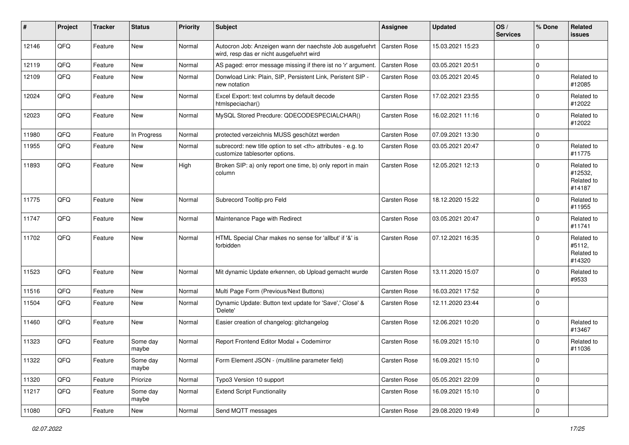| #     | Project | <b>Tracker</b> | <b>Status</b>     | <b>Priority</b> | <b>Subject</b>                                                                                       | <b>Assignee</b>                                        | <b>Updated</b>   | OS/<br><b>Services</b> | % Done      | Related<br>issues                             |                      |
|-------|---------|----------------|-------------------|-----------------|------------------------------------------------------------------------------------------------------|--------------------------------------------------------|------------------|------------------------|-------------|-----------------------------------------------|----------------------|
| 12146 | QFQ     | Feature        | New               | Normal          | Autocron Job: Anzeigen wann der naechste Job ausgefuehrt<br>wird, resp das er nicht ausgefuehrt wird | Carsten Rose                                           | 15.03.2021 15:23 |                        | $\Omega$    |                                               |                      |
| 12119 | QFQ     | Feature        | New               | Normal          | AS paged: error message missing if there ist no 'r' argument.                                        | Carsten Rose                                           | 03.05.2021 20:51 |                        | $\mathbf 0$ |                                               |                      |
| 12109 | QFQ     | Feature        | New               | Normal          | Donwload Link: Plain, SIP, Persistent Link, Peristent SIP -<br>new notation                          | Carsten Rose                                           | 03.05.2021 20:45 |                        | $\mathbf 0$ | Related to<br>#12085                          |                      |
| 12024 | QFQ     | Feature        | New               | Normal          | Excel Export: text columns by default decode<br>htmlspeciachar()                                     | Carsten Rose                                           | 17.02.2021 23:55 |                        | $\mathbf 0$ | Related to<br>#12022                          |                      |
| 12023 | QFQ     | Feature        | New               | Normal          | MySQL Stored Precdure: QDECODESPECIALCHAR()                                                          | Carsten Rose                                           | 16.02.2021 11:16 |                        | $\Omega$    | Related to<br>#12022                          |                      |
| 11980 | QFQ     | Feature        | In Progress       | Normal          | protected verzeichnis MUSS geschützt werden                                                          | Carsten Rose                                           | 07.09.2021 13:30 |                        | $\mathbf 0$ |                                               |                      |
| 11955 | QFQ     | Feature        | New               | Normal          | subrecord: new title option to set <th> attributes - e.g. to<br/>customize tablesorter options.</th> | attributes - e.g. to<br>customize tablesorter options. | Carsten Rose     | 03.05.2021 20:47       |             | $\mathbf 0$                                   | Related to<br>#11775 |
| 11893 | QFQ     | Feature        | New               | High            | Broken SIP: a) only report one time, b) only report in main<br>column                                | Carsten Rose                                           | 12.05.2021 12:13 |                        | $\Omega$    | Related to<br>#12532,<br>Related to<br>#14187 |                      |
| 11775 | QFQ     | Feature        | New               | Normal          | Subrecord Tooltip pro Feld                                                                           | <b>Carsten Rose</b>                                    | 18.12.2020 15:22 |                        | $\mathbf 0$ | Related to<br>#11955                          |                      |
| 11747 | QFQ     | Feature        | New               | Normal          | Maintenance Page with Redirect                                                                       | Carsten Rose                                           | 03.05.2021 20:47 |                        | $\Omega$    | Related to<br>#11741                          |                      |
| 11702 | QFQ     | Feature        | <b>New</b>        | Normal          | HTML Special Char makes no sense for 'allbut' if '&' is<br>forbidden                                 | Carsten Rose                                           | 07.12.2021 16:35 |                        | $\mathbf 0$ | Related to<br>#5112,<br>Related to<br>#14320  |                      |
| 11523 | QFQ     | Feature        | New               | Normal          | Mit dynamic Update erkennen, ob Upload gemacht wurde                                                 | Carsten Rose                                           | 13.11.2020 15:07 |                        | $\mathbf 0$ | Related to<br>#9533                           |                      |
| 11516 | QFQ     | Feature        | New               | Normal          | Multi Page Form (Previous/Next Buttons)                                                              | Carsten Rose                                           | 16.03.2021 17:52 |                        | $\mathbf 0$ |                                               |                      |
| 11504 | QFQ     | Feature        | New               | Normal          | Dynamic Update: Button text update for 'Save',' Close' &<br>'Delete'                                 | Carsten Rose                                           | 12.11.2020 23:44 |                        | $\mathbf 0$ |                                               |                      |
| 11460 | QFQ     | Feature        | New               | Normal          | Easier creation of changelog: gitchangelog                                                           | Carsten Rose                                           | 12.06.2021 10:20 |                        | $\mathbf 0$ | Related to<br>#13467                          |                      |
| 11323 | QFQ     | Feature        | Some day<br>maybe | Normal          | Report Frontend Editor Modal + Codemirror                                                            | Carsten Rose                                           | 16.09.2021 15:10 |                        | $\mathbf 0$ | Related to<br>#11036                          |                      |
| 11322 | QFQ     | Feature        | Some day<br>maybe | Normal          | Form Element JSON - (multiline parameter field)                                                      | Carsten Rose                                           | 16.09.2021 15:10 |                        | 0           |                                               |                      |
| 11320 | QFQ     | Feature        | Priorize          | Normal          | Typo3 Version 10 support                                                                             | Carsten Rose                                           | 05.05.2021 22:09 |                        | $\mathbf 0$ |                                               |                      |
| 11217 | QFQ     | Feature        | Some day<br>maybe | Normal          | <b>Extend Script Functionality</b>                                                                   | Carsten Rose                                           | 16.09.2021 15:10 |                        | $\mathbf 0$ |                                               |                      |
| 11080 | QFQ     | Feature        | New               | Normal          | Send MQTT messages                                                                                   | Carsten Rose                                           | 29.08.2020 19:49 |                        | 0           |                                               |                      |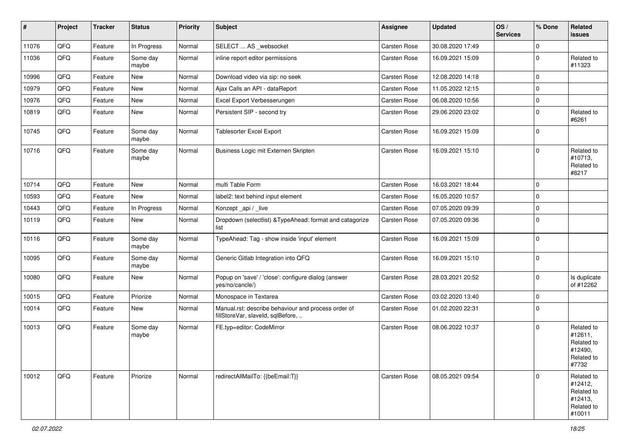| #     | Project | <b>Tracker</b> | <b>Status</b>     | <b>Priority</b> | Subject                                                                                  | Assignee     | <b>Updated</b>   | OS/<br><b>Services</b> | % Done      | Related<br><b>issues</b>                                               |
|-------|---------|----------------|-------------------|-----------------|------------------------------------------------------------------------------------------|--------------|------------------|------------------------|-------------|------------------------------------------------------------------------|
| 11076 | QFQ     | Feature        | In Progress       | Normal          | SELECT  AS _websocket                                                                    | Carsten Rose | 30.08.2020 17:49 |                        | $\mathbf 0$ |                                                                        |
| 11036 | QFQ     | Feature        | Some day<br>maybe | Normal          | inline report editor permissions                                                         | Carsten Rose | 16.09.2021 15:09 |                        | $\Omega$    | Related to<br>#11323                                                   |
| 10996 | QFQ     | Feature        | <b>New</b>        | Normal          | Download video via sip: no seek                                                          | Carsten Rose | 12.08.2020 14:18 |                        | $\mathbf 0$ |                                                                        |
| 10979 | QFQ     | Feature        | <b>New</b>        | Normal          | Ajax Calls an API - dataReport                                                           | Carsten Rose | 11.05.2022 12:15 |                        | $\Omega$    |                                                                        |
| 10976 | QFQ     | Feature        | New               | Normal          | Excel Export Verbesserungen                                                              | Carsten Rose | 06.08.2020 10:56 |                        | $\mathbf 0$ |                                                                        |
| 10819 | QFQ     | Feature        | <b>New</b>        | Normal          | Persistent SIP - second try                                                              | Carsten Rose | 29.06.2020 23:02 |                        | $\mathbf 0$ | Related to<br>#6261                                                    |
| 10745 | QFQ     | Feature        | Some day<br>maybe | Normal          | <b>Tablesorter Excel Export</b>                                                          | Carsten Rose | 16.09.2021 15:09 |                        | $\mathbf 0$ |                                                                        |
| 10716 | QFQ     | Feature        | Some day<br>maybe | Normal          | Business Logic mit Externen Skripten                                                     | Carsten Rose | 16.09.2021 15:10 |                        | $\Omega$    | Related to<br>#10713,<br>Related to<br>#8217                           |
| 10714 | QFQ     | Feature        | <b>New</b>        | Normal          | multi Table Form                                                                         | Carsten Rose | 16.03.2021 18:44 |                        | $\mathbf 0$ |                                                                        |
| 10593 | QFQ     | Feature        | <b>New</b>        | Normal          | label2: text behind input element                                                        | Carsten Rose | 16.05.2020 10:57 |                        | $\Omega$    |                                                                        |
| 10443 | QFQ     | Feature        | In Progress       | Normal          | Konzept_api / _live                                                                      | Carsten Rose | 07.05.2020 09:39 |                        | $\mathbf 0$ |                                                                        |
| 10119 | QFQ     | Feature        | <b>New</b>        | Normal          | Dropdown (selectlist) & TypeAhead: format and catagorize<br>list                         | Carsten Rose | 07.05.2020 09:36 |                        | $\Omega$    |                                                                        |
| 10116 | QFQ     | Feature        | Some day<br>maybe | Normal          | TypeAhead: Tag - show inside 'input' element                                             | Carsten Rose | 16.09.2021 15:09 |                        | $\mathbf 0$ |                                                                        |
| 10095 | QFQ     | Feature        | Some day<br>maybe | Normal          | Generic Gitlab Integration into QFQ                                                      | Carsten Rose | 16.09.2021 15:10 |                        | $\Omega$    |                                                                        |
| 10080 | QFQ     | Feature        | New               | Normal          | Popup on 'save' / 'close': configure dialog (answer<br>yes/no/cancle/)                   | Carsten Rose | 28.03.2021 20:52 |                        | $\mathbf 0$ | Is duplicate<br>of #12262                                              |
| 10015 | QFQ     | Feature        | Priorize          | Normal          | Monospace in Textarea                                                                    | Carsten Rose | 03.02.2020 13:40 |                        | $\mathbf 0$ |                                                                        |
| 10014 | QFQ     | Feature        | <b>New</b>        | Normal          | Manual.rst: describe behaviour and process order of<br>fillStoreVar, slaveId, sqlBefore, | Carsten Rose | 01.02.2020 22:31 |                        | $\Omega$    |                                                                        |
| 10013 | QFQ     | Feature        | Some day<br>maybe | Normal          | FE.typ=editor: CodeMirror                                                                | Carsten Rose | 08.06.2022 10:37 |                        | $\Omega$    | Related to<br>#12611,<br>Related to<br>#12490,<br>Related to<br>#7732  |
| 10012 | QFQ     | Feature        | Priorize          | Normal          | redirectAllMailTo: {{beEmail:T}}                                                         | Carsten Rose | 08.05.2021 09:54 |                        | $\mathbf 0$ | Related to<br>#12412,<br>Related to<br>#12413,<br>Related to<br>#10011 |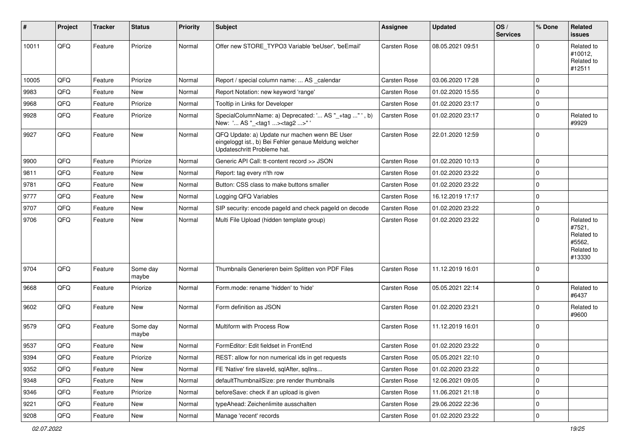| #     | Project        | <b>Tracker</b> | <b>Status</b>     | <b>Priority</b> | Subject                                                                                                                               | Assignee            | <b>Updated</b>   | OS/<br><b>Services</b> | % Done      | Related<br>issues                                                    |
|-------|----------------|----------------|-------------------|-----------------|---------------------------------------------------------------------------------------------------------------------------------------|---------------------|------------------|------------------------|-------------|----------------------------------------------------------------------|
| 10011 | QFQ            | Feature        | Priorize          | Normal          | Offer new STORE_TYPO3 Variable 'beUser', 'beEmail'                                                                                    | <b>Carsten Rose</b> | 08.05.2021 09:51 |                        | $\Omega$    | Related to<br>#10012,<br>Related to<br>#12511                        |
| 10005 | QFQ            | Feature        | Priorize          | Normal          | Report / special column name:  AS calendar                                                                                            | Carsten Rose        | 03.06.2020 17:28 |                        | $\mathbf 0$ |                                                                      |
| 9983  | QFQ            | Feature        | New               | Normal          | Report Notation: new keyword 'range'                                                                                                  | <b>Carsten Rose</b> | 01.02.2020 15:55 |                        | 0           |                                                                      |
| 9968  | QFQ            | Feature        | Priorize          | Normal          | Tooltip in Links for Developer                                                                                                        | Carsten Rose        | 01.02.2020 23:17 |                        | 0           |                                                                      |
| 9928  | QFQ            | Feature        | Priorize          | Normal          | SpecialColumnName: a) Deprecated: ' AS "_+tag " ', b)<br>New: ' AS "_ <tag1><tag2>"</tag2></tag1>                                     | Carsten Rose        | 01.02.2020 23:17 |                        | $\mathbf 0$ | Related to<br>#9929                                                  |
| 9927  | QFQ            | Feature        | <b>New</b>        | Normal          | QFQ Update: a) Update nur machen wenn BE User<br>eingeloggt ist., b) Bei Fehler genaue Meldung welcher<br>Updateschritt Probleme hat. | Carsten Rose        | 22.01.2020 12:59 |                        | 0           |                                                                      |
| 9900  | QFQ            | Feature        | Priorize          | Normal          | Generic API Call: tt-content record >> JSON                                                                                           | Carsten Rose        | 01.02.2020 10:13 |                        | $\mathbf 0$ |                                                                      |
| 9811  | QFQ            | Feature        | New               | Normal          | Report: tag every n'th row                                                                                                            | Carsten Rose        | 01.02.2020 23:22 |                        | $\mathbf 0$ |                                                                      |
| 9781  | QFQ            | Feature        | <b>New</b>        | Normal          | Button: CSS class to make buttons smaller                                                                                             | Carsten Rose        | 01.02.2020 23:22 |                        | $\mathbf 0$ |                                                                      |
| 9777  | QFQ            | Feature        | New               | Normal          | Logging QFQ Variables                                                                                                                 | Carsten Rose        | 16.12.2019 17:17 |                        | $\mathbf 0$ |                                                                      |
| 9707  | QFQ            | Feature        | New               | Normal          | SIP security: encode pageld and check pageld on decode                                                                                | Carsten Rose        | 01.02.2020 23:22 |                        | 0           |                                                                      |
| 9706  | QFQ            | Feature        | New               | Normal          | Multi File Upload (hidden template group)                                                                                             | Carsten Rose        | 01.02.2020 23:22 |                        | $\mathbf 0$ | Related to<br>#7521,<br>Related to<br>#5562,<br>Related to<br>#13330 |
| 9704  | QFQ            | Feature        | Some day<br>maybe | Normal          | Thumbnails Generieren beim Splitten von PDF Files                                                                                     | Carsten Rose        | 11.12.2019 16:01 |                        | 0           |                                                                      |
| 9668  | QFQ            | Feature        | Priorize          | Normal          | Form.mode: rename 'hidden' to 'hide'                                                                                                  | Carsten Rose        | 05.05.2021 22:14 |                        | $\mathbf 0$ | Related to<br>#6437                                                  |
| 9602  | QFQ            | Feature        | New               | Normal          | Form definition as JSON                                                                                                               | Carsten Rose        | 01.02.2020 23:21 |                        | 0           | Related to<br>#9600                                                  |
| 9579  | QFQ            | Feature        | Some day<br>maybe | Normal          | Multiform with Process Row                                                                                                            | Carsten Rose        | 11.12.2019 16:01 |                        | $\Omega$    |                                                                      |
| 9537  | QFQ            | Feature        | New               | Normal          | FormEditor: Edit fieldset in FrontEnd                                                                                                 | Carsten Rose        | 01.02.2020 23:22 |                        | $\mathbf 0$ |                                                                      |
| 9394  | QFQ            | Feature        | Priorize          | Normal          | REST: allow for non numerical ids in get requests                                                                                     | Carsten Rose        | 05.05.2021 22:10 |                        | O           |                                                                      |
| 9352  | QFQ            | Feature        | New               | Normal          | FE 'Native' fire slaveld, sqlAfter, sqlIns                                                                                            | Carsten Rose        | 01.02.2020 23:22 |                        | 0           |                                                                      |
| 9348  | QFQ            | Feature        | New               | Normal          | defaultThumbnailSize: pre render thumbnails                                                                                           | Carsten Rose        | 12.06.2021 09:05 |                        | 0           |                                                                      |
| 9346  | QFQ            | Feature        | Priorize          | Normal          | beforeSave: check if an upload is given                                                                                               | Carsten Rose        | 11.06.2021 21:18 |                        | 0           |                                                                      |
| 9221  | QFQ            | Feature        | New               | Normal          | typeAhead: Zeichenlimite ausschalten                                                                                                  | Carsten Rose        | 29.06.2022 22:36 |                        | 0           |                                                                      |
| 9208  | $\mathsf{QFQ}$ | Feature        | New               | Normal          | Manage 'recent' records                                                                                                               | Carsten Rose        | 01.02.2020 23:22 |                        | 0           |                                                                      |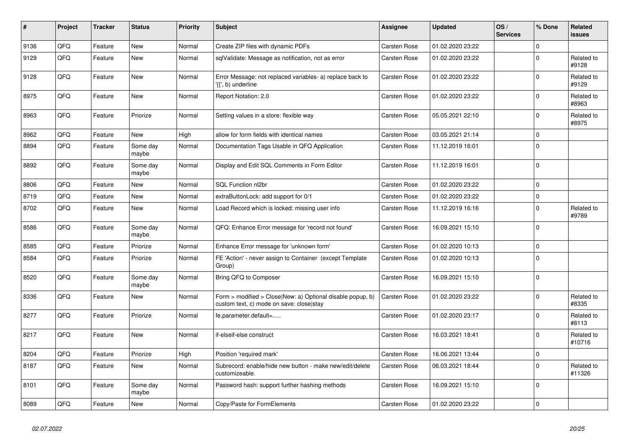| $\pmb{\sharp}$ | Project    | <b>Tracker</b> | <b>Status</b>     | <b>Priority</b> | <b>Subject</b>                                                                                         | <b>Assignee</b>     | <b>Updated</b>   | OS/<br><b>Services</b> | % Done              | <b>Related</b><br><b>issues</b> |
|----------------|------------|----------------|-------------------|-----------------|--------------------------------------------------------------------------------------------------------|---------------------|------------------|------------------------|---------------------|---------------------------------|
| 9136           | QFQ        | Feature        | <b>New</b>        | Normal          | Create ZIP files with dynamic PDFs                                                                     | Carsten Rose        | 01.02.2020 23:22 |                        | $\Omega$            |                                 |
| 9129           | QFQ        | Feature        | New               | Normal          | sqlValidate: Message as notification, not as error                                                     | <b>Carsten Rose</b> | 01.02.2020 23:22 |                        | $\mathbf 0$         | Related to<br>#9128             |
| 9128           | QFQ        | Feature        | New               | Normal          | Error Message: not replaced variables- a) replace back to<br>'{{', b) underline                        | Carsten Rose        | 01.02.2020 23:22 |                        | $\Omega$            | Related to<br>#9129             |
| 8975           | QFQ        | Feature        | New               | Normal          | Report Notation: 2.0                                                                                   | Carsten Rose        | 01.02.2020 23:22 |                        | $\mathbf 0$         | Related to<br>#8963             |
| 8963           | QFQ        | Feature        | Priorize          | Normal          | Setting values in a store: flexible way                                                                | Carsten Rose        | 05.05.2021 22:10 |                        | $\Omega$            | Related to<br>#8975             |
| 8962           | QFQ        | Feature        | New               | High            | allow for form fields with identical names                                                             | <b>Carsten Rose</b> | 03.05.2021 21:14 |                        | $\mathbf 0$         |                                 |
| 8894           | QFQ        | Feature        | Some day<br>maybe | Normal          | Documentation Tags Usable in QFQ Application                                                           | <b>Carsten Rose</b> | 11.12.2019 16:01 |                        | $\mathbf 0$         |                                 |
| 8892           | QFQ        | Feature        | Some day<br>maybe | Normal          | Display and Edit SQL Comments in Form Editor                                                           | <b>Carsten Rose</b> | 11.12.2019 16:01 |                        | $\mathbf 0$         |                                 |
| 8806           | QFQ        | Feature        | New               | Normal          | SQL Function nl2br                                                                                     | Carsten Rose        | 01.02.2020 23:22 |                        | $\mathsf{O}\xspace$ |                                 |
| 8719           | QFQ        | Feature        | New               | Normal          | extraButtonLock: add support for 0/1                                                                   | <b>Carsten Rose</b> | 01.02.2020 23:22 |                        | $\mathbf 0$         |                                 |
| 8702           | QFQ        | Feature        | New               | Normal          | Load Record which is locked: missing user info                                                         | Carsten Rose        | 11.12.2019 16:16 |                        | $\mathbf 0$         | Related to<br>#9789             |
| 8586           | <b>OFO</b> | Feature        | Some day<br>maybe | Normal          | QFQ: Enhance Error message for 'record not found'                                                      | Carsten Rose        | 16.09.2021 15:10 |                        | $\Omega$            |                                 |
| 8585           | QFQ        | Feature        | Priorize          | Normal          | Enhance Error message for 'unknown form'                                                               | <b>Carsten Rose</b> | 01.02.2020 10:13 |                        | $\mathbf 0$         |                                 |
| 8584           | QFQ        | Feature        | Priorize          | Normal          | FE 'Action' - never assign to Container (except Template<br>Group)                                     | <b>Carsten Rose</b> | 01.02.2020 10:13 |                        | $\mathbf 0$         |                                 |
| 8520           | QFQ        | Feature        | Some day<br>maybe | Normal          | Bring QFQ to Composer                                                                                  | Carsten Rose        | 16.09.2021 15:10 |                        | $\mathbf 0$         |                                 |
| 8336           | QFQ        | Feature        | New               | Normal          | Form > modified > Close New: a) Optional disable popup, b)<br>custom text, c) mode on save: close stay | <b>Carsten Rose</b> | 01.02.2020 23:22 |                        | $\Omega$            | Related to<br>#8335             |
| 8277           | QFQ        | Feature        | Priorize          | Normal          | fe.parameter.default=                                                                                  | <b>Carsten Rose</b> | 01.02.2020 23:17 |                        | $\mathbf 0$         | Related to<br>#8113             |
| 8217           | QFQ        | Feature        | <b>New</b>        | Normal          | if-elseif-else construct                                                                               | <b>Carsten Rose</b> | 16.03.2021 18:41 |                        | $\Omega$            | Related to<br>#10716            |
| 8204           | QFQ        | Feature        | Priorize          | High            | Position 'required mark'                                                                               | Carsten Rose        | 16.06.2021 13:44 |                        | $\mathbf 0$         |                                 |
| 8187           | QFQ        | Feature        | New               | Normal          | Subrecord: enable/hide new button - make new/edit/delete<br>customizeable.                             | <b>Carsten Rose</b> | 06.03.2021 18:44 |                        | $\mathbf 0$         | Related to<br>#11326            |
| 8101           | QFQ        | Feature        | Some day<br>maybe | Normal          | Password hash: support further hashing methods                                                         | <b>Carsten Rose</b> | 16.09.2021 15:10 |                        | $\mathbf 0$         |                                 |
| 8089           | QFQ        | Feature        | New               | Normal          | Copy/Paste for FormElements                                                                            | Carsten Rose        | 01.02.2020 23:22 |                        | $\mathbf 0$         |                                 |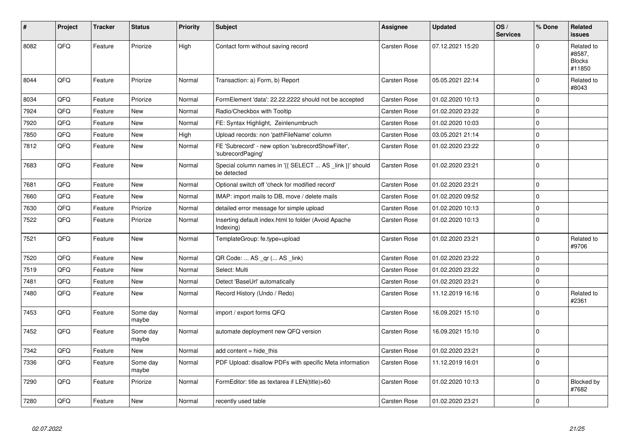| #    | Project | <b>Tracker</b> | <b>Status</b>     | <b>Priority</b> | <b>Subject</b>                                                          | Assignee            | <b>Updated</b>   | OS/<br><b>Services</b> | % Done         | Related<br><b>issues</b>                        |
|------|---------|----------------|-------------------|-----------------|-------------------------------------------------------------------------|---------------------|------------------|------------------------|----------------|-------------------------------------------------|
| 8082 | QFQ     | Feature        | Priorize          | High            | Contact form without saving record                                      | Carsten Rose        | 07.12.2021 15:20 |                        | $\Omega$       | Related to<br>#8587,<br><b>Blocks</b><br>#11850 |
| 8044 | QFG     | Feature        | Priorize          | Normal          | Transaction: a) Form, b) Report                                         | Carsten Rose        | 05.05.2021 22:14 |                        | $\mathbf 0$    | Related to<br>#8043                             |
| 8034 | QFQ     | Feature        | Priorize          | Normal          | FormElement 'data': 22.22.2222 should not be accepted                   | Carsten Rose        | 01.02.2020 10:13 |                        | $\Omega$       |                                                 |
| 7924 | QFQ     | Feature        | <b>New</b>        | Normal          | Radio/Checkbox with Tooltip                                             | <b>Carsten Rose</b> | 01.02.2020 23:22 |                        | $\mathbf 0$    |                                                 |
| 7920 | QFQ     | Feature        | <b>New</b>        | Normal          | FE: Syntax Highlight, Zeinlenumbruch                                    | <b>Carsten Rose</b> | 01.02.2020 10:03 |                        | $\Omega$       |                                                 |
| 7850 | QFQ     | Feature        | New               | High            | Upload records: non 'pathFileName' column                               | Carsten Rose        | 03.05.2021 21:14 |                        | $\mathbf 0$    |                                                 |
| 7812 | QFQ     | Feature        | <b>New</b>        | Normal          | FE 'Subrecord' - new option 'subrecordShowFilter',<br>'subrecordPaging' | <b>Carsten Rose</b> | 01.02.2020 23:22 |                        | $\Omega$       |                                                 |
| 7683 | QFQ     | Feature        | <b>New</b>        | Normal          | Special column names in '{{ SELECT  AS _link }}' should<br>be detected  | <b>Carsten Rose</b> | 01.02.2020 23:21 |                        | $\overline{0}$ |                                                 |
| 7681 | QFQ     | Feature        | <b>New</b>        | Normal          | Optional switch off 'check for modified record'                         | <b>Carsten Rose</b> | 01.02.2020 23:21 |                        | 0              |                                                 |
| 7660 | QFQ     | Feature        | <b>New</b>        | Normal          | IMAP: import mails to DB, move / delete mails                           | Carsten Rose        | 01.02.2020 09:52 |                        | $\overline{0}$ |                                                 |
| 7630 | QFQ     | Feature        | Priorize          | Normal          | detailed error message for simple upload                                | <b>Carsten Rose</b> | 01.02.2020 10:13 |                        | $\mathbf 0$    |                                                 |
| 7522 | QFQ     | Feature        | Priorize          | Normal          | Inserting default index.html to folder (Avoid Apache<br>Indexing)       | Carsten Rose        | 01.02.2020 10:13 |                        | $\Omega$       |                                                 |
| 7521 | QFQ     | Feature        | <b>New</b>        | Normal          | TemplateGroup: fe.type=upload                                           | Carsten Rose        | 01.02.2020 23:21 |                        | $\Omega$       | Related to<br>#9706                             |
| 7520 | QFQ     | Feature        | <b>New</b>        | Normal          | QR Code:  AS _qr ( AS _link)                                            | <b>Carsten Rose</b> | 01.02.2020 23:22 |                        | $\mathbf 0$    |                                                 |
| 7519 | QFQ     | Feature        | New               | Normal          | Select: Multi                                                           | Carsten Rose        | 01.02.2020 23:22 |                        | $\mathbf 0$    |                                                 |
| 7481 | QFQ     | Feature        | <b>New</b>        | Normal          | Detect 'BaseUrl' automatically                                          | Carsten Rose        | 01.02.2020 23:21 |                        | $\mathbf 0$    |                                                 |
| 7480 | QFQ     | Feature        | <b>New</b>        | Normal          | Record History (Undo / Redo)                                            | Carsten Rose        | 11.12.2019 16:16 |                        | $\mathbf 0$    | Related to<br>#2361                             |
| 7453 | QFQ     | Feature        | Some day<br>maybe | Normal          | import / export forms QFQ                                               | Carsten Rose        | 16.09.2021 15:10 |                        | $\Omega$       |                                                 |
| 7452 | QFQ     | Feature        | Some day<br>maybe | Normal          | automate deployment new QFQ version                                     | Carsten Rose        | 16.09.2021 15:10 |                        | $\Omega$       |                                                 |
| 7342 | QFQ     | Feature        | New               | Normal          | add content = hide this                                                 | Carsten Rose        | 01.02.2020 23:21 |                        | $\Omega$       |                                                 |
| 7336 | QFQ     | Feature        | Some day<br>maybe | Normal          | PDF Upload: disallow PDFs with specific Meta information                | Carsten Rose        | 11.12.2019 16:01 |                        | $\mathbf 0$    |                                                 |
| 7290 | QFQ     | Feature        | Priorize          | Normal          | FormEditor: title as textarea if LEN(title)>60                          | Carsten Rose        | 01.02.2020 10:13 |                        | $\mathbf 0$    | Blocked by<br>#7682                             |
| 7280 | QFQ     | Feature        | New               | Normal          | recently used table                                                     | Carsten Rose        | 01.02.2020 23:21 |                        | 0 l            |                                                 |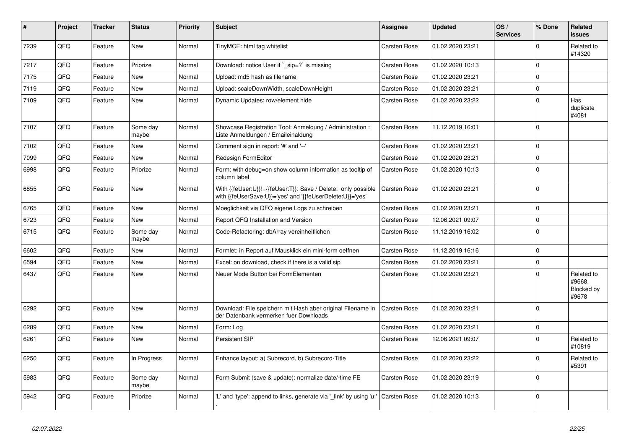| #    | Project | <b>Tracker</b> | <b>Status</b>     | <b>Priority</b> | <b>Subject</b>                                                                                                             | Assignee            | <b>Updated</b>   | OS/<br><b>Services</b> | % Done              | Related<br><b>issues</b>                    |
|------|---------|----------------|-------------------|-----------------|----------------------------------------------------------------------------------------------------------------------------|---------------------|------------------|------------------------|---------------------|---------------------------------------------|
| 7239 | QFQ     | Feature        | <b>New</b>        | Normal          | TinyMCE: html tag whitelist                                                                                                | Carsten Rose        | 01.02.2020 23:21 |                        | $\Omega$            | Related to<br>#14320                        |
| 7217 | QFQ     | Feature        | Priorize          | Normal          | Download: notice User if ` sip=?` is missing                                                                               | <b>Carsten Rose</b> | 01.02.2020 10:13 |                        | $\mathbf 0$         |                                             |
| 7175 | QFQ     | Feature        | <b>New</b>        | Normal          | Upload: md5 hash as filename                                                                                               | Carsten Rose        | 01.02.2020 23:21 |                        | $\mathbf 0$         |                                             |
| 7119 | QFQ     | Feature        | <b>New</b>        | Normal          | Upload: scaleDownWidth, scaleDownHeight                                                                                    | Carsten Rose        | 01.02.2020 23:21 |                        | $\mathbf 0$         |                                             |
| 7109 | QFQ     | Feature        | <b>New</b>        | Normal          | Dynamic Updates: row/element hide                                                                                          | Carsten Rose        | 01.02.2020 23:22 |                        | $\pmb{0}$           | Has<br>duplicate<br>#4081                   |
| 7107 | QFQ     | Feature        | Some day<br>maybe | Normal          | Showcase Registration Tool: Anmeldung / Administration :<br>Liste Anmeldungen / Emaileinaldung                             | <b>Carsten Rose</b> | 11.12.2019 16:01 |                        | $\mathbf 0$         |                                             |
| 7102 | QFQ     | Feature        | New               | Normal          | Comment sign in report: '#' and '--'                                                                                       | Carsten Rose        | 01.02.2020 23:21 |                        | $\mathbf 0$         |                                             |
| 7099 | QFQ     | Feature        | New               | Normal          | Redesign FormEditor                                                                                                        | <b>Carsten Rose</b> | 01.02.2020 23:21 |                        | $\pmb{0}$           |                                             |
| 6998 | QFQ     | Feature        | Priorize          | Normal          | Form: with debug=on show column information as tooltip of<br>column label                                                  | <b>Carsten Rose</b> | 01.02.2020 10:13 |                        | $\mathbf 0$         |                                             |
| 6855 | QFQ     | Feature        | <b>New</b>        | Normal          | With {{feUser:U}}!={{feUser:T}}: Save / Delete: only possible<br>with {{feUserSave:U}}='yes' and '{{feUserDelete:U}}='yes' | <b>Carsten Rose</b> | 01.02.2020 23:21 |                        | $\mathbf 0$         |                                             |
| 6765 | QFQ     | Feature        | <b>New</b>        | Normal          | Moeglichkeit via QFQ eigene Logs zu schreiben                                                                              | Carsten Rose        | 01.02.2020 23:21 |                        | $\Omega$            |                                             |
| 6723 | QFQ     | Feature        | <b>New</b>        | Normal          | Report QFQ Installation and Version                                                                                        | Carsten Rose        | 12.06.2021 09:07 |                        | $\mathbf 0$         |                                             |
| 6715 | QFQ     | Feature        | Some day<br>maybe | Normal          | Code-Refactoring: dbArray vereinheitlichen                                                                                 | <b>Carsten Rose</b> | 11.12.2019 16:02 |                        | $\mathbf 0$         |                                             |
| 6602 | QFQ     | Feature        | <b>New</b>        | Normal          | Formlet: in Report auf Mausklick ein mini-form oeffnen                                                                     | Carsten Rose        | 11.12.2019 16:16 |                        | $\mathbf 0$         |                                             |
| 6594 | QFQ     | Feature        | New               | Normal          | Excel: on download, check if there is a valid sip                                                                          | <b>Carsten Rose</b> | 01.02.2020 23:21 |                        | $\mathbf 0$         |                                             |
| 6437 | QFQ     | Feature        | <b>New</b>        | Normal          | Neuer Mode Button bei FormElementen                                                                                        | Carsten Rose        | 01.02.2020 23:21 |                        | $\Omega$            | Related to<br>#9668.<br>Blocked by<br>#9678 |
| 6292 | QFQ     | Feature        | <b>New</b>        | Normal          | Download: File speichern mit Hash aber original Filename in<br>der Datenbank vermerken fuer Downloads                      | <b>Carsten Rose</b> | 01.02.2020 23:21 |                        | $\mathbf 0$         |                                             |
| 6289 | QFQ     | Feature        | <b>New</b>        | Normal          | Form: Log                                                                                                                  | Carsten Rose        | 01.02.2020 23:21 |                        | $\mathsf{O}\xspace$ |                                             |
| 6261 | QFQ     | Feature        | <b>New</b>        | Normal          | <b>Persistent SIP</b>                                                                                                      | Carsten Rose        | 12.06.2021 09:07 |                        | $\mathbf 0$         | Related to<br>#10819                        |
| 6250 | QFQ     | Feature        | In Progress       | Normal          | Enhance layout: a) Subrecord, b) Subrecord-Title                                                                           | Carsten Rose        | 01.02.2020 23:22 |                        | $\mathbf 0$         | Related to<br>#5391                         |
| 5983 | QFQ     | Feature        | Some day<br>maybe | Normal          | Form Submit (save & update): normalize date/-time FE                                                                       | Carsten Rose        | 01.02.2020 23:19 |                        | $\mathbf 0$         |                                             |
| 5942 | QFQ     | Feature        | Priorize          | Normal          | 'L' and 'type': append to links, generate via '_link' by using 'u:'                                                        | <b>Carsten Rose</b> | 01.02.2020 10:13 |                        | $\Omega$            |                                             |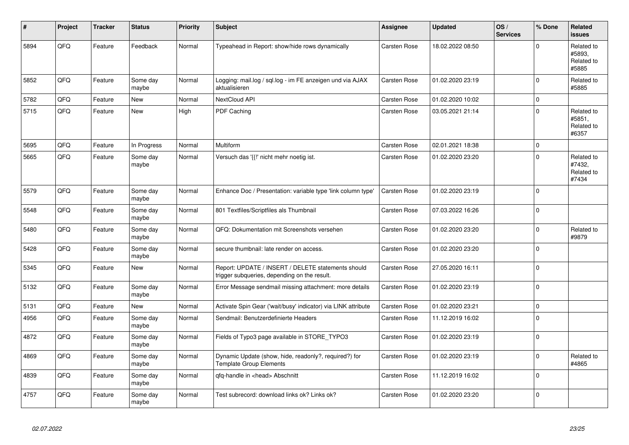| #    | Project | <b>Tracker</b> | <b>Status</b>     | <b>Priority</b> | <b>Subject</b>                                                                                     | Assignee            | <b>Updated</b>   | OS/<br><b>Services</b> | % Done      | <b>Related</b><br><b>issues</b>             |
|------|---------|----------------|-------------------|-----------------|----------------------------------------------------------------------------------------------------|---------------------|------------------|------------------------|-------------|---------------------------------------------|
| 5894 | QFQ     | Feature        | Feedback          | Normal          | Typeahead in Report: show/hide rows dynamically                                                    | <b>Carsten Rose</b> | 18.02.2022 08:50 |                        | $\mathbf 0$ | Related to<br>#5893.<br>Related to<br>#5885 |
| 5852 | QFQ     | Feature        | Some day<br>maybe | Normal          | Logging: mail.log / sql.log - im FE anzeigen und via AJAX<br>aktualisieren                         | <b>Carsten Rose</b> | 01.02.2020 23:19 |                        | $\mathbf 0$ | Related to<br>#5885                         |
| 5782 | QFQ     | Feature        | New               | Normal          | NextCloud API                                                                                      | <b>Carsten Rose</b> | 01.02.2020 10:02 |                        | $\mathbf 0$ |                                             |
| 5715 | QFQ     | Feature        | <b>New</b>        | High            | PDF Caching                                                                                        | Carsten Rose        | 03.05.2021 21:14 |                        | $\mathbf 0$ | Related to<br>#5851.<br>Related to<br>#6357 |
| 5695 | QFQ     | Feature        | In Progress       | Normal          | Multiform                                                                                          | <b>Carsten Rose</b> | 02.01.2021 18:38 |                        | $\pmb{0}$   |                                             |
| 5665 | QFQ     | Feature        | Some day<br>maybe | Normal          | Versuch das '{{!' nicht mehr noetig ist.                                                           | Carsten Rose        | 01.02.2020 23:20 |                        | $\mathbf 0$ | Related to<br>#7432,<br>Related to<br>#7434 |
| 5579 | QFQ     | Feature        | Some day<br>maybe | Normal          | Enhance Doc / Presentation: variable type 'link column type'                                       | <b>Carsten Rose</b> | 01.02.2020 23:19 |                        | $\Omega$    |                                             |
| 5548 | QFQ     | Feature        | Some day<br>maybe | Normal          | 801 Textfiles/Scriptfiles als Thumbnail                                                            | <b>Carsten Rose</b> | 07.03.2022 16:26 |                        | $\mathbf 0$ |                                             |
| 5480 | QFQ     | Feature        | Some day<br>maybe | Normal          | QFQ: Dokumentation mit Screenshots versehen                                                        | Carsten Rose        | 01.02.2020 23:20 |                        | $\mathbf 0$ | Related to<br>#9879                         |
| 5428 | QFQ     | Feature        | Some day<br>maybe | Normal          | secure thumbnail: late render on access.                                                           | Carsten Rose        | 01.02.2020 23:20 |                        | $\mathbf 0$ |                                             |
| 5345 | QFQ     | Feature        | New               | Normal          | Report: UPDATE / INSERT / DELETE statements should<br>trigger subqueries, depending on the result. | Carsten Rose        | 27.05.2020 16:11 |                        | $\pmb{0}$   |                                             |
| 5132 | QFQ     | Feature        | Some day<br>maybe | Normal          | Error Message sendmail missing attachment: more details                                            | <b>Carsten Rose</b> | 01.02.2020 23:19 |                        | $\mathbf 0$ |                                             |
| 5131 | QFQ     | Feature        | New               | Normal          | Activate Spin Gear ('wait/busy' indicator) via LINK attribute                                      | <b>Carsten Rose</b> | 01.02.2020 23:21 |                        | $\mathbf 0$ |                                             |
| 4956 | QFQ     | Feature        | Some day<br>maybe | Normal          | Sendmail: Benutzerdefinierte Headers                                                               | Carsten Rose        | 11.12.2019 16:02 |                        | $\mathbf 0$ |                                             |
| 4872 | QFQ     | Feature        | Some day<br>maybe | Normal          | Fields of Typo3 page available in STORE_TYPO3                                                      | Carsten Rose        | 01.02.2020 23:19 |                        | $\mathbf 0$ |                                             |
| 4869 | QFQ     | Feature        | Some day<br>maybe | Normal          | Dynamic Update (show, hide, readonly?, required?) for<br><b>Template Group Elements</b>            | Carsten Rose        | 01.02.2020 23:19 |                        | $\mathbf 0$ | Related to<br>#4865                         |
| 4839 | QFQ     | Feature        | Some day<br>maybe | Normal          | qfq-handle in <head> Abschnitt</head>                                                              | <b>Carsten Rose</b> | 11.12.2019 16:02 |                        | $\mathbf 0$ |                                             |
| 4757 | QFQ     | Feature        | Some day<br>maybe | Normal          | Test subrecord: download links ok? Links ok?                                                       | <b>Carsten Rose</b> | 01.02.2020 23:20 |                        | $\mathbf 0$ |                                             |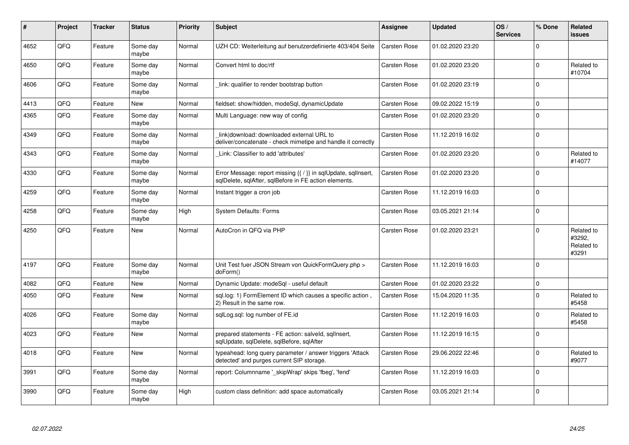| #    | Project    | <b>Tracker</b> | <b>Status</b>     | <b>Priority</b> | <b>Subject</b>                                                                                                          | <b>Assignee</b>     | <b>Updated</b>   | OS/<br><b>Services</b> | % Done      | Related<br>issues                           |
|------|------------|----------------|-------------------|-----------------|-------------------------------------------------------------------------------------------------------------------------|---------------------|------------------|------------------------|-------------|---------------------------------------------|
| 4652 | QFQ        | Feature        | Some day<br>maybe | Normal          | UZH CD: Weiterleitung auf benutzerdefinierte 403/404 Seite                                                              | <b>Carsten Rose</b> | 01.02.2020 23:20 |                        | $\Omega$    |                                             |
| 4650 | QFQ        | Feature        | Some day<br>maybe | Normal          | Convert html to doc/rtf                                                                                                 | <b>Carsten Rose</b> | 01.02.2020 23:20 |                        | $\Omega$    | Related to<br>#10704                        |
| 4606 | QFQ        | Feature        | Some day<br>maybe | Normal          | link: qualifier to render bootstrap button                                                                              | <b>Carsten Rose</b> | 01.02.2020 23:19 |                        | $\Omega$    |                                             |
| 4413 | QFQ        | Feature        | <b>New</b>        | Normal          | fieldset: show/hidden, modeSql, dynamicUpdate                                                                           | <b>Carsten Rose</b> | 09.02.2022 15:19 |                        | $\Omega$    |                                             |
| 4365 | QFQ        | Feature        | Some day<br>maybe | Normal          | Multi Language: new way of config                                                                                       | <b>Carsten Rose</b> | 01.02.2020 23:20 |                        | $\Omega$    |                                             |
| 4349 | QFQ        | Feature        | Some day<br>maybe | Normal          | link download: downloaded external URL to<br>deliver/concatenate - check mimetipe and handle it correctly               | <b>Carsten Rose</b> | 11.12.2019 16:02 |                        | $\Omega$    |                                             |
| 4343 | QFQ        | Feature        | Some day<br>maybe | Normal          | Link: Classifier to add 'attributes'                                                                                    | <b>Carsten Rose</b> | 01.02.2020 23:20 |                        | $\Omega$    | Related to<br>#14077                        |
| 4330 | <b>OFO</b> | Feature        | Some day<br>maybe | Normal          | Error Message: report missing {{ / }} in sqlUpdate, sqlInsert,<br>sglDelete, sglAfter, sglBefore in FE action elements. | <b>Carsten Rose</b> | 01.02.2020 23:20 |                        | $\Omega$    |                                             |
| 4259 | QFQ        | Feature        | Some day<br>maybe | Normal          | Instant trigger a cron job                                                                                              | <b>Carsten Rose</b> | 11.12.2019 16:03 |                        | $\Omega$    |                                             |
| 4258 | QFQ        | Feature        | Some day<br>maybe | High            | <b>System Defaults: Forms</b>                                                                                           | <b>Carsten Rose</b> | 03.05.2021 21:14 |                        | $\Omega$    |                                             |
| 4250 | QFQ        | Feature        | <b>New</b>        | Normal          | AutoCron in QFQ via PHP                                                                                                 | <b>Carsten Rose</b> | 01.02.2020 23:21 |                        | $\Omega$    | Related to<br>#3292.<br>Related to<br>#3291 |
| 4197 | QFQ        | Feature        | Some day<br>maybe | Normal          | Unit Test fuer JSON Stream von QuickFormQuery.php ><br>doForm()                                                         | <b>Carsten Rose</b> | 11.12.2019 16:03 |                        | $\Omega$    |                                             |
| 4082 | QFQ        | Feature        | New               | Normal          | Dynamic Update: modeSql - useful default                                                                                | <b>Carsten Rose</b> | 01.02.2020 23:22 |                        | 0           |                                             |
| 4050 | QFQ        | Feature        | New               | Normal          | sql.log: 1) FormElement ID which causes a specific action,<br>2) Result in the same row.                                | <b>Carsten Rose</b> | 15.04.2020 11:35 |                        | $\mathbf 0$ | Related to<br>#5458                         |
| 4026 | QFQ        | Feature        | Some day<br>maybe | Normal          | sqlLog.sql: log number of FE.id                                                                                         | <b>Carsten Rose</b> | 11.12.2019 16:03 |                        | $\Omega$    | Related to<br>#5458                         |
| 4023 | QFQ        | Feature        | New               | Normal          | prepared statements - FE action: salveld, sglInsert,<br>sqlUpdate, sqlDelete, sqlBefore, sqlAfter                       | <b>Carsten Rose</b> | 11.12.2019 16:15 |                        | $\Omega$    |                                             |
| 4018 | QFQ        | Feature        | New               | Normal          | typeahead: long query parameter / answer triggers 'Attack<br>detected' and purges current SIP storage.                  | <b>Carsten Rose</b> | 29.06.2022 22:46 |                        | $\Omega$    | Related to<br>#9077                         |
| 3991 | QFQ        | Feature        | Some day<br>maybe | Normal          | report: Columnname '_skipWrap' skips 'fbeg', 'fend'                                                                     | <b>Carsten Rose</b> | 11.12.2019 16:03 |                        | $\Omega$    |                                             |
| 3990 | QFQ        | Feature        | Some day<br>maybe | High            | custom class definition: add space automatically                                                                        | <b>Carsten Rose</b> | 03.05.2021 21:14 |                        | $\Omega$    |                                             |